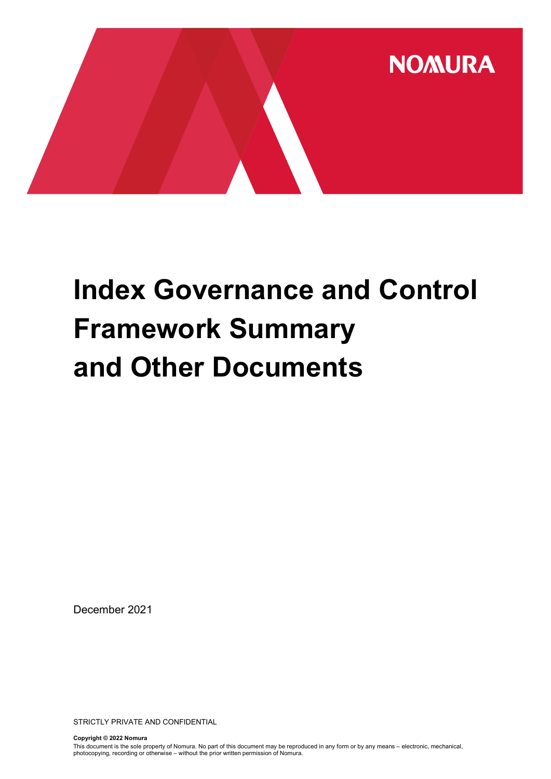

# Index Governance and Control Framework Summary and Other Documents

December 2021

STRICTLY PRIVATE AND CONFIDENTIAL

Copyright © 2022 Nomura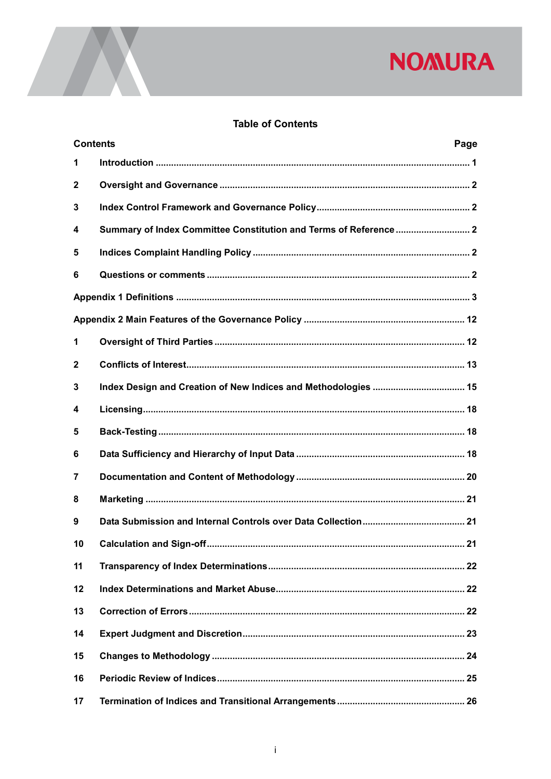### **Table of Contents**

| <b>Contents</b> | Page                                                              |
|-----------------|-------------------------------------------------------------------|
| 1               |                                                                   |
| $\mathbf{2}$    |                                                                   |
| 3               |                                                                   |
| 4               | Summary of Index Committee Constitution and Terms of Reference  2 |
| 5               |                                                                   |
| 6               |                                                                   |
|                 |                                                                   |
|                 |                                                                   |
| 1               |                                                                   |
| $\mathbf{2}$    |                                                                   |
| 3               | Index Design and Creation of New Indices and Methodologies  15    |
| 4               |                                                                   |
| 5               |                                                                   |
| 6               |                                                                   |
| 7               |                                                                   |
| 8               |                                                                   |
| 9               |                                                                   |
| 10              |                                                                   |
| 11              |                                                                   |
| 12              |                                                                   |
| 13              |                                                                   |
| 14              |                                                                   |
| 15              |                                                                   |
| 16              |                                                                   |
| 17              |                                                                   |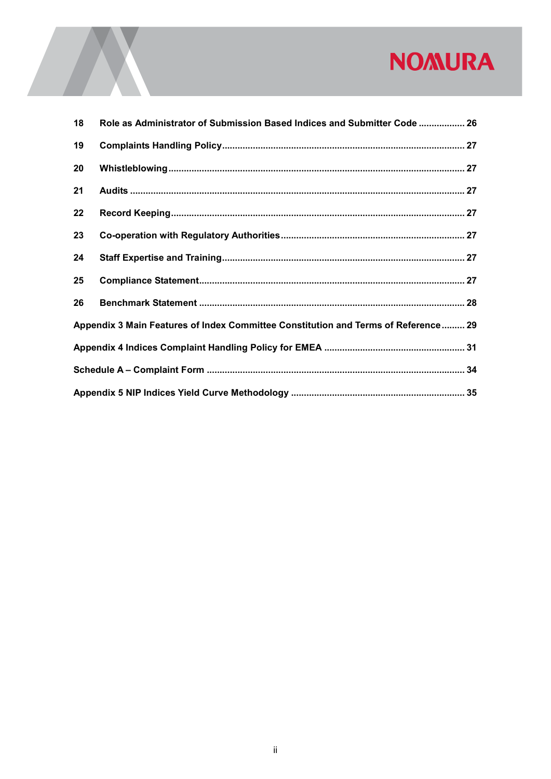| 18                                                                                 | Role as Administrator of Submission Based Indices and Submitter Code  26 |  |  |
|------------------------------------------------------------------------------------|--------------------------------------------------------------------------|--|--|
| 19                                                                                 |                                                                          |  |  |
| 20                                                                                 |                                                                          |  |  |
| 21                                                                                 |                                                                          |  |  |
| 22                                                                                 |                                                                          |  |  |
| 23                                                                                 |                                                                          |  |  |
| 24                                                                                 |                                                                          |  |  |
| 25                                                                                 |                                                                          |  |  |
| 26                                                                                 |                                                                          |  |  |
| Appendix 3 Main Features of Index Committee Constitution and Terms of Reference 29 |                                                                          |  |  |
|                                                                                    |                                                                          |  |  |
|                                                                                    |                                                                          |  |  |
|                                                                                    |                                                                          |  |  |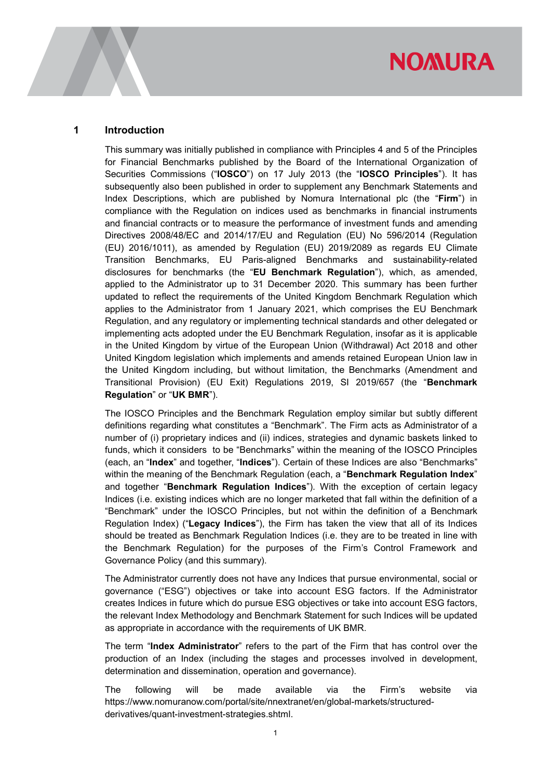#### 1 Introduction

This summary was initially published in compliance with Principles 4 and 5 of the Principles for Financial Benchmarks published by the Board of the International Organization of Securities Commissions ("IOSCO") on 17 July 2013 (the "IOSCO Principles"). It has subsequently also been published in order to supplement any Benchmark Statements and Index Descriptions, which are published by Nomura International plc (the "Firm") in compliance with the Regulation on indices used as benchmarks in financial instruments and financial contracts or to measure the performance of investment funds and amending Directives 2008/48/EC and 2014/17/EU and Regulation (EU) No 596/2014 (Regulation (EU) 2016/1011), as amended by Regulation (EU) 2019/2089 as regards EU Climate Transition Benchmarks, EU Paris-aligned Benchmarks and sustainability-related disclosures for benchmarks (the "EU Benchmark Regulation"), which, as amended, applied to the Administrator up to 31 December 2020. This summary has been further updated to reflect the requirements of the United Kingdom Benchmark Regulation which applies to the Administrator from 1 January 2021, which comprises the EU Benchmark Regulation, and any regulatory or implementing technical standards and other delegated or implementing acts adopted under the EU Benchmark Regulation, insofar as it is applicable in the United Kingdom by virtue of the European Union (Withdrawal) Act 2018 and other United Kingdom legislation which implements and amends retained European Union law in the United Kingdom including, but without limitation, the Benchmarks (Amendment and Transitional Provision) (EU Exit) Regulations 2019, SI 2019/657 (the "Benchmark Regulation" or "UK BMR").

The IOSCO Principles and the Benchmark Regulation employ similar but subtly different definitions regarding what constitutes a "Benchmark". The Firm acts as Administrator of a number of (i) proprietary indices and (ii) indices, strategies and dynamic baskets linked to funds, which it considers to be "Benchmarks" within the meaning of the IOSCO Principles (each, an "Index" and together, "Indices"). Certain of these Indices are also "Benchmarks" within the meaning of the Benchmark Regulation (each, a "**Benchmark Regulation Index**" and together "Benchmark Regulation Indices"). With the exception of certain legacy Indices (i.e. existing indices which are no longer marketed that fall within the definition of a "Benchmark" under the IOSCO Principles, but not within the definition of a Benchmark Regulation Index) ("Legacy Indices"), the Firm has taken the view that all of its Indices should be treated as Benchmark Regulation Indices (i.e. they are to be treated in line with the Benchmark Regulation) for the purposes of the Firm's Control Framework and Governance Policy (and this summary).

The Administrator currently does not have any Indices that pursue environmental, social or governance ("ESG") objectives or take into account ESG factors. If the Administrator creates Indices in future which do pursue ESG objectives or take into account ESG factors, the relevant Index Methodology and Benchmark Statement for such Indices will be updated as appropriate in accordance with the requirements of UK BMR.

The term "Index Administrator" refers to the part of the Firm that has control over the production of an Index (including the stages and processes involved in development, determination and dissemination, operation and governance).

The following will be made available via the Firm's website via https://www.nomuranow.com/portal/site/nnextranet/en/global-markets/structuredderivatives/quant-investment-strategies.shtml.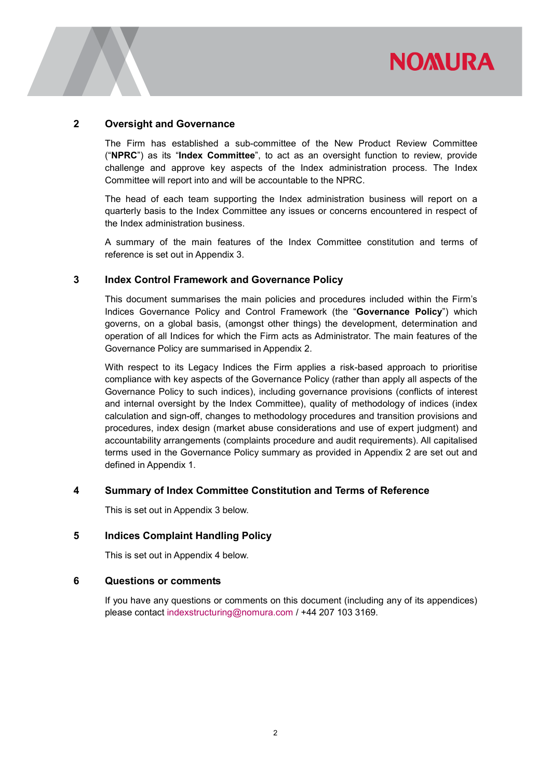

#### 2 Oversight and Governance

The Firm has established a sub-committee of the New Product Review Committee ("NPRC") as its "Index Committee", to act as an oversight function to review, provide challenge and approve key aspects of the Index administration process. The Index Committee will report into and will be accountable to the NPRC.

The head of each team supporting the Index administration business will report on a quarterly basis to the Index Committee any issues or concerns encountered in respect of the Index administration business.

A summary of the main features of the Index Committee constitution and terms of reference is set out in Appendix 3.

#### 3 Index Control Framework and Governance Policy

This document summarises the main policies and procedures included within the Firm's Indices Governance Policy and Control Framework (the "Governance Policy") which governs, on a global basis, (amongst other things) the development, determination and operation of all Indices for which the Firm acts as Administrator. The main features of the Governance Policy are summarised in Appendix 2.

With respect to its Legacy Indices the Firm applies a risk-based approach to prioritise compliance with key aspects of the Governance Policy (rather than apply all aspects of the Governance Policy to such indices), including governance provisions (conflicts of interest and internal oversight by the Index Committee), quality of methodology of indices (index calculation and sign-off, changes to methodology procedures and transition provisions and procedures, index design (market abuse considerations and use of expert judgment) and accountability arrangements (complaints procedure and audit requirements). All capitalised terms used in the Governance Policy summary as provided in Appendix 2 are set out and defined in Appendix 1.

#### 4 Summary of Index Committee Constitution and Terms of Reference

This is set out in Appendix 3 below.

#### 5 Indices Complaint Handling Policy

This is set out in Appendix 4 below.

#### 6 Questions or comments

If you have any questions or comments on this document (including any of its appendices) please contact indexstructuring@nomura.com / +44 207 103 3169.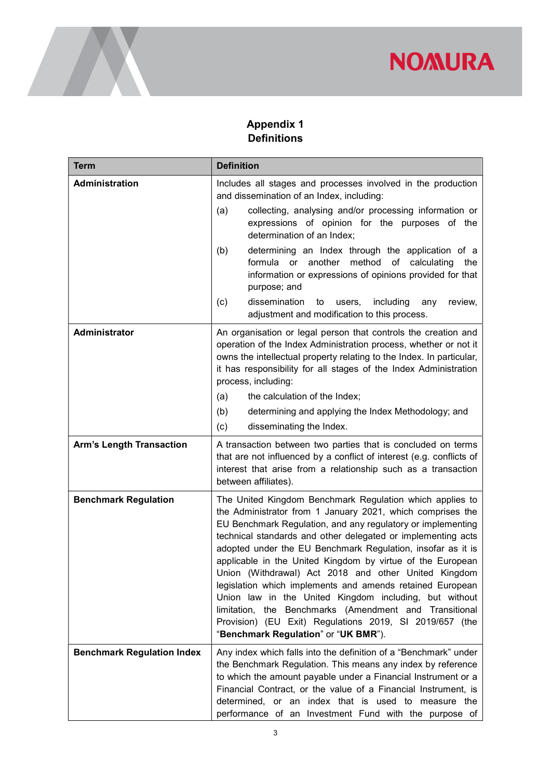

## Appendix 1 **Definitions**

| <b>Term</b>                       | <b>Definition</b>                                                                                                                                                                                                                                                                                                                                                                                                                                                                                                                                                                                                                                                                                                              |  |  |
|-----------------------------------|--------------------------------------------------------------------------------------------------------------------------------------------------------------------------------------------------------------------------------------------------------------------------------------------------------------------------------------------------------------------------------------------------------------------------------------------------------------------------------------------------------------------------------------------------------------------------------------------------------------------------------------------------------------------------------------------------------------------------------|--|--|
| Administration                    | Includes all stages and processes involved in the production<br>and dissemination of an Index, including:                                                                                                                                                                                                                                                                                                                                                                                                                                                                                                                                                                                                                      |  |  |
|                                   | collecting, analysing and/or processing information or<br>(a)<br>expressions of opinion for the purposes of the<br>determination of an Index;                                                                                                                                                                                                                                                                                                                                                                                                                                                                                                                                                                                  |  |  |
|                                   | determining an Index through the application of a<br>(b)<br>method<br>formula or<br>another<br>calculating<br>of<br>the<br>information or expressions of opinions provided for that<br>purpose; and                                                                                                                                                                                                                                                                                                                                                                                                                                                                                                                            |  |  |
|                                   | dissemination<br>including<br>(c)<br>users,<br>any<br>review,<br>to<br>adjustment and modification to this process.                                                                                                                                                                                                                                                                                                                                                                                                                                                                                                                                                                                                            |  |  |
| Administrator                     | An organisation or legal person that controls the creation and<br>operation of the Index Administration process, whether or not it<br>owns the intellectual property relating to the Index. In particular,<br>it has responsibility for all stages of the Index Administration<br>process, including:                                                                                                                                                                                                                                                                                                                                                                                                                          |  |  |
|                                   | the calculation of the Index;<br>(a)                                                                                                                                                                                                                                                                                                                                                                                                                                                                                                                                                                                                                                                                                           |  |  |
|                                   | (b)<br>determining and applying the Index Methodology; and                                                                                                                                                                                                                                                                                                                                                                                                                                                                                                                                                                                                                                                                     |  |  |
|                                   | (c)<br>disseminating the Index.                                                                                                                                                                                                                                                                                                                                                                                                                                                                                                                                                                                                                                                                                                |  |  |
| <b>Arm's Length Transaction</b>   | A transaction between two parties that is concluded on terms<br>that are not influenced by a conflict of interest (e.g. conflicts of<br>interest that arise from a relationship such as a transaction<br>between affiliates).                                                                                                                                                                                                                                                                                                                                                                                                                                                                                                  |  |  |
| <b>Benchmark Regulation</b>       | The United Kingdom Benchmark Regulation which applies to<br>the Administrator from 1 January 2021, which comprises the<br>EU Benchmark Regulation, and any regulatory or implementing<br>technical standards and other delegated or implementing acts<br>adopted under the EU Benchmark Regulation, insofar as it is<br>applicable in the United Kingdom by virtue of the European<br>Union (Withdrawal) Act 2018 and other United Kingdom<br>legislation which implements and amends retained European<br>Union law in the United Kingdom including, but without<br>limitation, the Benchmarks (Amendment and Transitional<br>Provision) (EU Exit) Regulations 2019, SI 2019/657 (the<br>"Benchmark Regulation" or "UK BMR"). |  |  |
| <b>Benchmark Regulation Index</b> | Any index which falls into the definition of a "Benchmark" under<br>the Benchmark Regulation. This means any index by reference<br>to which the amount payable under a Financial Instrument or a<br>Financial Contract, or the value of a Financial Instrument, is<br>determined, or an index that is used to measure the<br>performance of an Investment Fund with the purpose of                                                                                                                                                                                                                                                                                                                                             |  |  |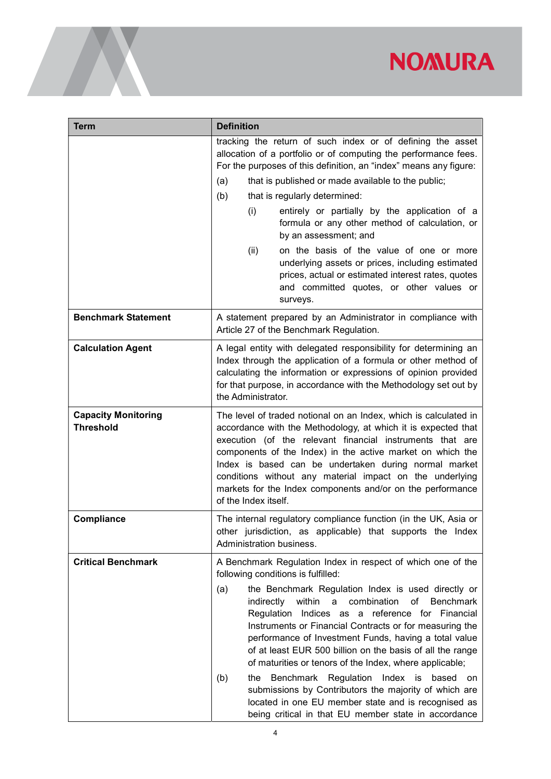| <b>Term</b>                                    | <b>Definition</b>                                                                                                                                                                                                                                                                                                                                                                                                                                                                                                                                                                                                                                                                                                                                                |  |  |  |
|------------------------------------------------|------------------------------------------------------------------------------------------------------------------------------------------------------------------------------------------------------------------------------------------------------------------------------------------------------------------------------------------------------------------------------------------------------------------------------------------------------------------------------------------------------------------------------------------------------------------------------------------------------------------------------------------------------------------------------------------------------------------------------------------------------------------|--|--|--|
|                                                | tracking the return of such index or of defining the asset<br>allocation of a portfolio or of computing the performance fees.<br>For the purposes of this definition, an "index" means any figure:<br>that is published or made available to the public;<br>(a)<br>(b)<br>that is regularly determined:<br>entirely or partially by the application of a<br>(i)<br>formula or any other method of calculation, or<br>by an assessment; and<br>on the basis of the value of one or more<br>(ii)<br>underlying assets or prices, including estimated<br>prices, actual or estimated interest rates, quotes<br>and committed quotes, or other values or<br>surveys.                                                                                                 |  |  |  |
| <b>Benchmark Statement</b>                     | A statement prepared by an Administrator in compliance with<br>Article 27 of the Benchmark Regulation.                                                                                                                                                                                                                                                                                                                                                                                                                                                                                                                                                                                                                                                           |  |  |  |
| <b>Calculation Agent</b>                       | A legal entity with delegated responsibility for determining an<br>Index through the application of a formula or other method of<br>calculating the information or expressions of opinion provided<br>for that purpose, in accordance with the Methodology set out by<br>the Administrator.                                                                                                                                                                                                                                                                                                                                                                                                                                                                      |  |  |  |
| <b>Capacity Monitoring</b><br><b>Threshold</b> | The level of traded notional on an Index, which is calculated in<br>accordance with the Methodology, at which it is expected that<br>execution (of the relevant financial instruments that are<br>components of the Index) in the active market on which the<br>Index is based can be undertaken during normal market<br>conditions without any material impact on the underlying<br>markets for the Index components and/or on the performance<br>of the Index itself.                                                                                                                                                                                                                                                                                          |  |  |  |
| Compliance                                     | The internal regulatory compliance function (in the UK, Asia or<br>other jurisdiction, as applicable) that supports the Index<br>Administration business.                                                                                                                                                                                                                                                                                                                                                                                                                                                                                                                                                                                                        |  |  |  |
| <b>Critical Benchmark</b>                      | A Benchmark Regulation Index in respect of which one of the<br>following conditions is fulfilled:<br>the Benchmark Regulation Index is used directly or<br>(a)<br>indirectly within<br>a<br>combination<br>of<br><b>Benchmark</b><br>Regulation Indices as a reference for Financial<br>Instruments or Financial Contracts or for measuring the<br>performance of Investment Funds, having a total value<br>of at least EUR 500 billion on the basis of all the range<br>of maturities or tenors of the Index, where applicable;<br>Benchmark Regulation Index is based on<br>(b)<br>the<br>submissions by Contributors the majority of which are<br>located in one EU member state and is recognised as<br>being critical in that EU member state in accordance |  |  |  |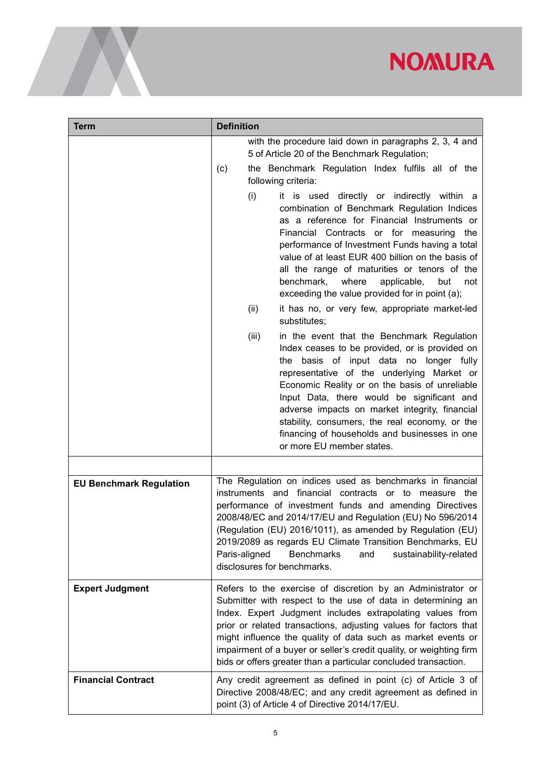| <b>Term</b>                    | <b>Definition</b>                                                                                                                                                                                                                                                                                                                                                                                                                                                                                                                  |  |  |
|--------------------------------|------------------------------------------------------------------------------------------------------------------------------------------------------------------------------------------------------------------------------------------------------------------------------------------------------------------------------------------------------------------------------------------------------------------------------------------------------------------------------------------------------------------------------------|--|--|
|                                | with the procedure laid down in paragraphs 2, 3, 4 and<br>5 of Article 20 of the Benchmark Regulation;                                                                                                                                                                                                                                                                                                                                                                                                                             |  |  |
|                                | the Benchmark Regulation Index fulfils all of the<br>(c)<br>following criteria:                                                                                                                                                                                                                                                                                                                                                                                                                                                    |  |  |
|                                | (i)<br>it is used directly or indirectly within a<br>combination of Benchmark Regulation Indices<br>as a reference for Financial Instruments or<br>Financial Contracts or for measuring the<br>performance of Investment Funds having a total<br>value of at least EUR 400 billion on the basis of<br>all the range of maturities or tenors of the<br>where<br>applicable,<br>benchmark,<br>but<br>not<br>exceeding the value provided for in point (a);<br>(ii)<br>it has no, or very few, appropriate market-led<br>substitutes; |  |  |
|                                | (iii)<br>in the event that the Benchmark Regulation<br>Index ceases to be provided, or is provided on<br>the basis of input data no longer fully<br>representative of the underlying Market or<br>Economic Reality or on the basis of unreliable<br>Input Data, there would be significant and<br>adverse impacts on market integrity, financial<br>stability, consumers, the real economy, or the<br>financing of households and businesses in one<br>or more EU member states.                                                   |  |  |
|                                |                                                                                                                                                                                                                                                                                                                                                                                                                                                                                                                                    |  |  |
| <b>EU Benchmark Regulation</b> | The Regulation on indices used as benchmarks in financial<br>instruments and financial contracts or to measure the<br>performance of investment funds and amending Directives<br>2008/48/EC and 2014/17/EU and Regulation (EU) No 596/2014<br>(Regulation (EU) 2016/1011), as amended by Regulation (EU)<br>2019/2089 as regards EU Climate Transition Benchmarks, EU<br>Paris-aligned<br><b>Benchmarks</b><br>and<br>sustainability-related<br>disclosures for benchmarks.                                                        |  |  |
| <b>Expert Judgment</b>         | Refers to the exercise of discretion by an Administrator or<br>Submitter with respect to the use of data in determining an<br>Index. Expert Judgment includes extrapolating values from<br>prior or related transactions, adjusting values for factors that<br>might influence the quality of data such as market events or<br>impairment of a buyer or seller's credit quality, or weighting firm<br>bids or offers greater than a particular concluded transaction.                                                              |  |  |
| <b>Financial Contract</b>      | Any credit agreement as defined in point (c) of Article 3 of<br>Directive 2008/48/EC; and any credit agreement as defined in<br>point (3) of Article 4 of Directive 2014/17/EU.                                                                                                                                                                                                                                                                                                                                                    |  |  |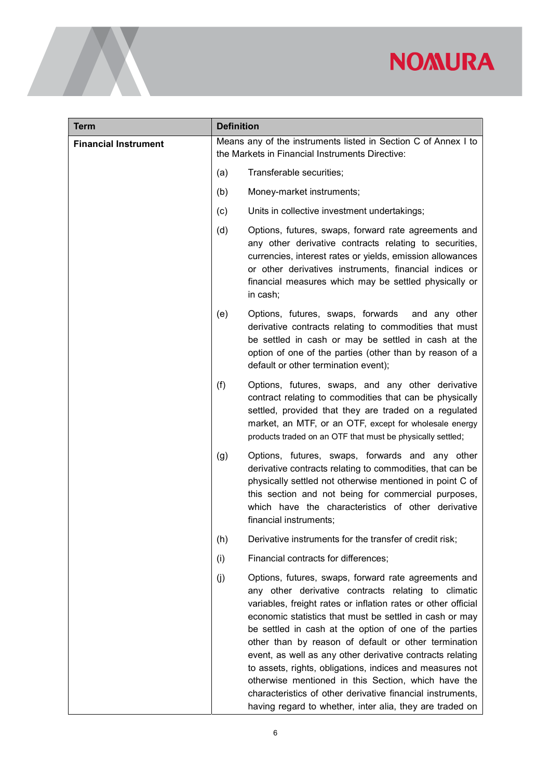| <b>Term</b>                 | <b>Definition</b>                                                                                                 |                                                                                                                                                                                                                                                                                                                                                                                                                                                                                                                                                                                                                                                                     |  |
|-----------------------------|-------------------------------------------------------------------------------------------------------------------|---------------------------------------------------------------------------------------------------------------------------------------------------------------------------------------------------------------------------------------------------------------------------------------------------------------------------------------------------------------------------------------------------------------------------------------------------------------------------------------------------------------------------------------------------------------------------------------------------------------------------------------------------------------------|--|
| <b>Financial Instrument</b> | Means any of the instruments listed in Section C of Annex I to<br>the Markets in Financial Instruments Directive: |                                                                                                                                                                                                                                                                                                                                                                                                                                                                                                                                                                                                                                                                     |  |
|                             | (a)                                                                                                               | Transferable securities;                                                                                                                                                                                                                                                                                                                                                                                                                                                                                                                                                                                                                                            |  |
|                             | (b)                                                                                                               | Money-market instruments;                                                                                                                                                                                                                                                                                                                                                                                                                                                                                                                                                                                                                                           |  |
|                             | (c)                                                                                                               | Units in collective investment undertakings;                                                                                                                                                                                                                                                                                                                                                                                                                                                                                                                                                                                                                        |  |
|                             | (d)                                                                                                               | Options, futures, swaps, forward rate agreements and<br>any other derivative contracts relating to securities,<br>currencies, interest rates or yields, emission allowances<br>or other derivatives instruments, financial indices or<br>financial measures which may be settled physically or<br>in cash;                                                                                                                                                                                                                                                                                                                                                          |  |
|                             | (e)                                                                                                               | Options, futures, swaps, forwards<br>and any other<br>derivative contracts relating to commodities that must<br>be settled in cash or may be settled in cash at the<br>option of one of the parties (other than by reason of a<br>default or other termination event);                                                                                                                                                                                                                                                                                                                                                                                              |  |
|                             | (f)                                                                                                               | Options, futures, swaps, and any other derivative<br>contract relating to commodities that can be physically<br>settled, provided that they are traded on a regulated<br>market, an MTF, or an OTF, except for wholesale energy<br>products traded on an OTF that must be physically settled;                                                                                                                                                                                                                                                                                                                                                                       |  |
|                             | (g)                                                                                                               | Options, futures, swaps, forwards and any other<br>derivative contracts relating to commodities, that can be<br>physically settled not otherwise mentioned in point C of<br>this section and not being for commercial purposes,<br>which have the characteristics of other derivative<br>financial instruments;                                                                                                                                                                                                                                                                                                                                                     |  |
|                             | (h)                                                                                                               | Derivative instruments for the transfer of credit risk;                                                                                                                                                                                                                                                                                                                                                                                                                                                                                                                                                                                                             |  |
|                             | (i)                                                                                                               | Financial contracts for differences;                                                                                                                                                                                                                                                                                                                                                                                                                                                                                                                                                                                                                                |  |
|                             | (j)                                                                                                               | Options, futures, swaps, forward rate agreements and<br>any other derivative contracts relating to climatic<br>variables, freight rates or inflation rates or other official<br>economic statistics that must be settled in cash or may<br>be settled in cash at the option of one of the parties<br>other than by reason of default or other termination<br>event, as well as any other derivative contracts relating<br>to assets, rights, obligations, indices and measures not<br>otherwise mentioned in this Section, which have the<br>characteristics of other derivative financial instruments,<br>having regard to whether, inter alia, they are traded on |  |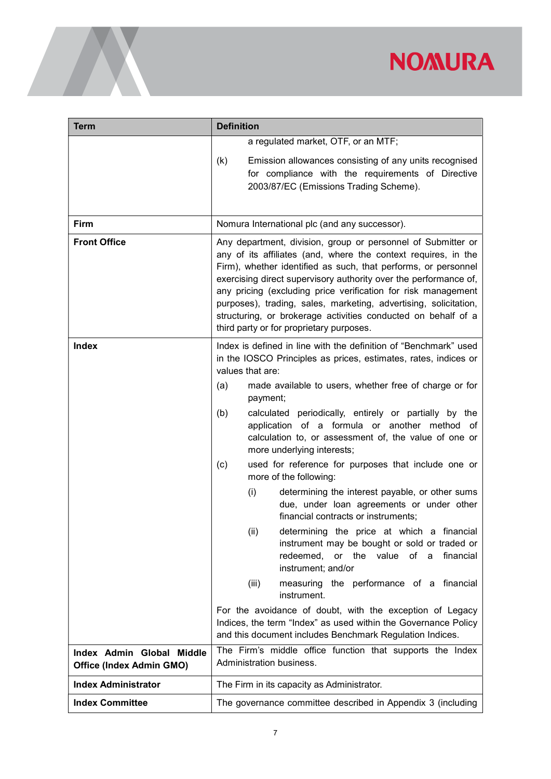| <b>Term</b>                                           | <b>Definition</b>                                                                                                                                                                                                                                                                                                                                                                                                                                                                                                      |  |  |
|-------------------------------------------------------|------------------------------------------------------------------------------------------------------------------------------------------------------------------------------------------------------------------------------------------------------------------------------------------------------------------------------------------------------------------------------------------------------------------------------------------------------------------------------------------------------------------------|--|--|
|                                                       | a regulated market, OTF, or an MTF;<br>Emission allowances consisting of any units recognised<br>(k)                                                                                                                                                                                                                                                                                                                                                                                                                   |  |  |
|                                                       | for compliance with the requirements of Directive<br>2003/87/EC (Emissions Trading Scheme).                                                                                                                                                                                                                                                                                                                                                                                                                            |  |  |
| Firm                                                  | Nomura International plc (and any successor).                                                                                                                                                                                                                                                                                                                                                                                                                                                                          |  |  |
| <b>Front Office</b>                                   | Any department, division, group or personnel of Submitter or<br>any of its affiliates (and, where the context requires, in the<br>Firm), whether identified as such, that performs, or personnel<br>exercising direct supervisory authority over the performance of,<br>any pricing (excluding price verification for risk management<br>purposes), trading, sales, marketing, advertising, solicitation,<br>structuring, or brokerage activities conducted on behalf of a<br>third party or for proprietary purposes. |  |  |
| <b>Index</b>                                          | Index is defined in line with the definition of "Benchmark" used<br>in the IOSCO Principles as prices, estimates, rates, indices or<br>values that are:                                                                                                                                                                                                                                                                                                                                                                |  |  |
|                                                       | made available to users, whether free of charge or for<br>(a)<br>payment;                                                                                                                                                                                                                                                                                                                                                                                                                                              |  |  |
|                                                       | calculated periodically, entirely or partially by the<br>(b)<br>application of a formula or another method of<br>calculation to, or assessment of, the value of one or<br>more underlying interests;                                                                                                                                                                                                                                                                                                                   |  |  |
|                                                       | (c)<br>used for reference for purposes that include one or<br>more of the following:                                                                                                                                                                                                                                                                                                                                                                                                                                   |  |  |
|                                                       | determining the interest payable, or other sums<br>(i)<br>due, under loan agreements or under other<br>financial contracts or instruments;                                                                                                                                                                                                                                                                                                                                                                             |  |  |
|                                                       | (ii)<br>determining the price at which a financial<br>instrument may be bought or sold or traded or<br>redeemed, or the value of a<br>financial<br>instrument; and/or                                                                                                                                                                                                                                                                                                                                                  |  |  |
|                                                       | (iii)<br>measuring the performance of a financial<br>instrument.                                                                                                                                                                                                                                                                                                                                                                                                                                                       |  |  |
|                                                       | For the avoidance of doubt, with the exception of Legacy<br>Indices, the term "Index" as used within the Governance Policy<br>and this document includes Benchmark Regulation Indices.                                                                                                                                                                                                                                                                                                                                 |  |  |
| Index Admin Global Middle<br>Office (Index Admin GMO) | The Firm's middle office function that supports the Index<br>Administration business.                                                                                                                                                                                                                                                                                                                                                                                                                                  |  |  |
| <b>Index Administrator</b>                            | The Firm in its capacity as Administrator.                                                                                                                                                                                                                                                                                                                                                                                                                                                                             |  |  |
| <b>Index Committee</b>                                | The governance committee described in Appendix 3 (including                                                                                                                                                                                                                                                                                                                                                                                                                                                            |  |  |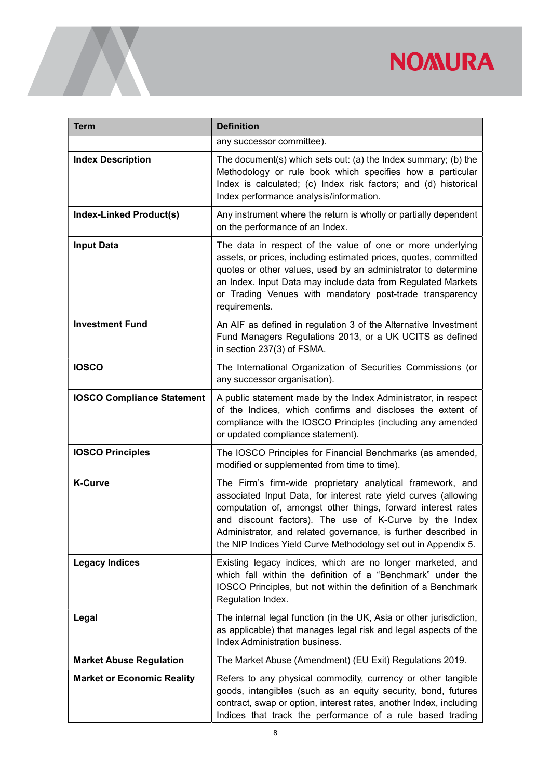| <b>Term</b>                       | <b>Definition</b>                                                                                                                                                                                                                                                                                                                                                                           |  |
|-----------------------------------|---------------------------------------------------------------------------------------------------------------------------------------------------------------------------------------------------------------------------------------------------------------------------------------------------------------------------------------------------------------------------------------------|--|
|                                   | any successor committee).                                                                                                                                                                                                                                                                                                                                                                   |  |
| <b>Index Description</b>          | The document(s) which sets out: (a) the Index summary; (b) the<br>Methodology or rule book which specifies how a particular<br>Index is calculated; (c) Index risk factors; and (d) historical<br>Index performance analysis/information.                                                                                                                                                   |  |
| <b>Index-Linked Product(s)</b>    | Any instrument where the return is wholly or partially dependent<br>on the performance of an Index.                                                                                                                                                                                                                                                                                         |  |
| <b>Input Data</b>                 | The data in respect of the value of one or more underlying<br>assets, or prices, including estimated prices, quotes, committed<br>quotes or other values, used by an administrator to determine<br>an Index. Input Data may include data from Regulated Markets<br>or Trading Venues with mandatory post-trade transparency<br>requirements.                                                |  |
| <b>Investment Fund</b>            | An AIF as defined in regulation 3 of the Alternative Investment<br>Fund Managers Regulations 2013, or a UK UCITS as defined<br>in section 237(3) of FSMA.                                                                                                                                                                                                                                   |  |
| <b>IOSCO</b>                      | The International Organization of Securities Commissions (or<br>any successor organisation).                                                                                                                                                                                                                                                                                                |  |
| <b>IOSCO Compliance Statement</b> | A public statement made by the Index Administrator, in respect<br>of the Indices, which confirms and discloses the extent of<br>compliance with the IOSCO Principles (including any amended<br>or updated compliance statement).                                                                                                                                                            |  |
| <b>IOSCO Principles</b>           | The IOSCO Principles for Financial Benchmarks (as amended,<br>modified or supplemented from time to time).                                                                                                                                                                                                                                                                                  |  |
| <b>K-Curve</b>                    | The Firm's firm-wide proprietary analytical framework, and<br>associated Input Data, for interest rate yield curves (allowing<br>computation of, amongst other things, forward interest rates<br>and discount factors). The use of K-Curve by the Index<br>Administrator, and related governance, is further described in<br>the NIP Indices Yield Curve Methodology set out in Appendix 5. |  |
| <b>Legacy Indices</b>             | Existing legacy indices, which are no longer marketed, and<br>which fall within the definition of a "Benchmark" under the<br>IOSCO Principles, but not within the definition of a Benchmark<br>Regulation Index.                                                                                                                                                                            |  |
| Legal                             | The internal legal function (in the UK, Asia or other jurisdiction,<br>as applicable) that manages legal risk and legal aspects of the<br><b>Index Administration business.</b>                                                                                                                                                                                                             |  |
| <b>Market Abuse Regulation</b>    | The Market Abuse (Amendment) (EU Exit) Regulations 2019.                                                                                                                                                                                                                                                                                                                                    |  |
| <b>Market or Economic Reality</b> | Refers to any physical commodity, currency or other tangible<br>goods, intangibles (such as an equity security, bond, futures<br>contract, swap or option, interest rates, another Index, including<br>Indices that track the performance of a rule based trading                                                                                                                           |  |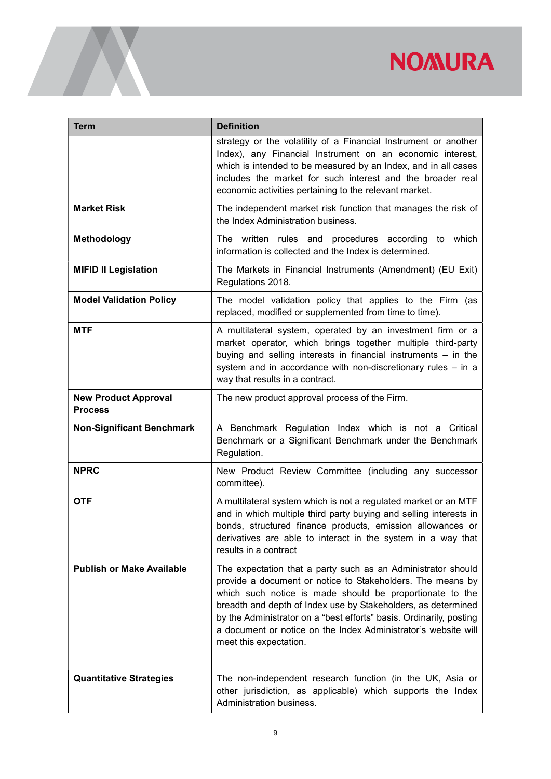| <b>Term</b>                                   | <b>Definition</b>                                                                                                                                                                                                                                                                                                                                                                                                          |  |
|-----------------------------------------------|----------------------------------------------------------------------------------------------------------------------------------------------------------------------------------------------------------------------------------------------------------------------------------------------------------------------------------------------------------------------------------------------------------------------------|--|
|                                               | strategy or the volatility of a Financial Instrument or another<br>Index), any Financial Instrument on an economic interest,<br>which is intended to be measured by an Index, and in all cases<br>includes the market for such interest and the broader real<br>economic activities pertaining to the relevant market.                                                                                                     |  |
| <b>Market Risk</b>                            | The independent market risk function that manages the risk of<br>the Index Administration business.                                                                                                                                                                                                                                                                                                                        |  |
| <b>Methodology</b>                            | The written rules and procedures according to which<br>information is collected and the Index is determined.                                                                                                                                                                                                                                                                                                               |  |
| <b>MIFID II Legislation</b>                   | The Markets in Financial Instruments (Amendment) (EU Exit)<br>Regulations 2018.                                                                                                                                                                                                                                                                                                                                            |  |
| <b>Model Validation Policy</b>                | The model validation policy that applies to the Firm (as<br>replaced, modified or supplemented from time to time).                                                                                                                                                                                                                                                                                                         |  |
| <b>MTF</b>                                    | A multilateral system, operated by an investment firm or a<br>market operator, which brings together multiple third-party<br>buying and selling interests in financial instruments - in the<br>system and in accordance with non-discretionary rules - in a<br>way that results in a contract.                                                                                                                             |  |
| <b>New Product Approval</b><br><b>Process</b> | The new product approval process of the Firm.                                                                                                                                                                                                                                                                                                                                                                              |  |
| <b>Non-Significant Benchmark</b>              | A Benchmark Regulation Index which is not a Critical<br>Benchmark or a Significant Benchmark under the Benchmark<br>Regulation.                                                                                                                                                                                                                                                                                            |  |
| <b>NPRC</b>                                   | New Product Review Committee (including any successor<br>committee).                                                                                                                                                                                                                                                                                                                                                       |  |
| <b>OTF</b>                                    | A multilateral system which is not a regulated market or an MTF<br>and in which multiple third party buying and selling interests in<br>bonds, structured finance products, emission allowances or<br>derivatives are able to interact in the system in a way that<br>results in a contract                                                                                                                                |  |
| <b>Publish or Make Available</b>              | The expectation that a party such as an Administrator should<br>provide a document or notice to Stakeholders. The means by<br>which such notice is made should be proportionate to the<br>breadth and depth of Index use by Stakeholders, as determined<br>by the Administrator on a "best efforts" basis. Ordinarily, posting<br>a document or notice on the Index Administrator's website will<br>meet this expectation. |  |
| <b>Quantitative Strategies</b>                | The non-independent research function (in the UK, Asia or<br>other jurisdiction, as applicable) which supports the Index<br>Administration business.                                                                                                                                                                                                                                                                       |  |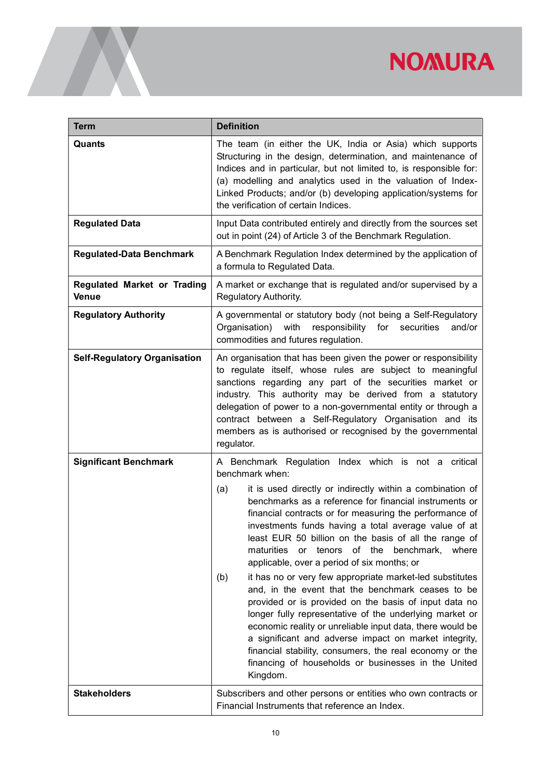| <b>Term</b>                                        | <b>Definition</b>                                                                                                                                                                                                                                                                                                                                                                                                                                                                                                                                                                                                                                                                                                                                                                                                                                                                                     |  |  |
|----------------------------------------------------|-------------------------------------------------------------------------------------------------------------------------------------------------------------------------------------------------------------------------------------------------------------------------------------------------------------------------------------------------------------------------------------------------------------------------------------------------------------------------------------------------------------------------------------------------------------------------------------------------------------------------------------------------------------------------------------------------------------------------------------------------------------------------------------------------------------------------------------------------------------------------------------------------------|--|--|
| Quants                                             | The team (in either the UK, India or Asia) which supports<br>Structuring in the design, determination, and maintenance of<br>Indices and in particular, but not limited to, is responsible for:<br>(a) modelling and analytics used in the valuation of Index-<br>Linked Products; and/or (b) developing application/systems for<br>the verification of certain Indices.                                                                                                                                                                                                                                                                                                                                                                                                                                                                                                                              |  |  |
| <b>Regulated Data</b>                              | Input Data contributed entirely and directly from the sources set<br>out in point (24) of Article 3 of the Benchmark Regulation.                                                                                                                                                                                                                                                                                                                                                                                                                                                                                                                                                                                                                                                                                                                                                                      |  |  |
| <b>Regulated-Data Benchmark</b>                    | A Benchmark Regulation Index determined by the application of<br>a formula to Regulated Data.                                                                                                                                                                                                                                                                                                                                                                                                                                                                                                                                                                                                                                                                                                                                                                                                         |  |  |
| <b>Regulated Market or Trading</b><br><b>Venue</b> | A market or exchange that is regulated and/or supervised by a<br>Regulatory Authority.                                                                                                                                                                                                                                                                                                                                                                                                                                                                                                                                                                                                                                                                                                                                                                                                                |  |  |
| <b>Regulatory Authority</b>                        | A governmental or statutory body (not being a Self-Regulatory<br>with<br>responsibility for<br>Organisation)<br>securities<br>and/or<br>commodities and futures regulation.                                                                                                                                                                                                                                                                                                                                                                                                                                                                                                                                                                                                                                                                                                                           |  |  |
| <b>Self-Regulatory Organisation</b>                | An organisation that has been given the power or responsibility<br>to regulate itself, whose rules are subject to meaningful<br>sanctions regarding any part of the securities market or<br>industry. This authority may be derived from a statutory<br>delegation of power to a non-governmental entity or through a<br>contract between a Self-Regulatory Organisation and its<br>members as is authorised or recognised by the governmental<br>regulator.                                                                                                                                                                                                                                                                                                                                                                                                                                          |  |  |
| <b>Significant Benchmark</b>                       | A Benchmark Regulation Index which is not a critical<br>benchmark when:                                                                                                                                                                                                                                                                                                                                                                                                                                                                                                                                                                                                                                                                                                                                                                                                                               |  |  |
|                                                    | it is used directly or indirectly within a combination of<br>(a)<br>benchmarks as a reference for financial instruments or<br>financial contracts or for measuring the performance of<br>investments funds having a total average value of at<br>least EUR 50 billion on the basis of all the range of<br>tenors of the<br>maturities<br>benchmark,<br>or<br>where<br>applicable, over a period of six months; or<br>it has no or very few appropriate market-led substitutes<br>(b)<br>and, in the event that the benchmark ceases to be<br>provided or is provided on the basis of input data no<br>longer fully representative of the underlying market or<br>economic reality or unreliable input data, there would be<br>a significant and adverse impact on market integrity,<br>financial stability, consumers, the real economy or the<br>financing of households or businesses in the United |  |  |
| <b>Stakeholders</b>                                | Kingdom.<br>Subscribers and other persons or entities who own contracts or<br>Financial Instruments that reference an Index.                                                                                                                                                                                                                                                                                                                                                                                                                                                                                                                                                                                                                                                                                                                                                                          |  |  |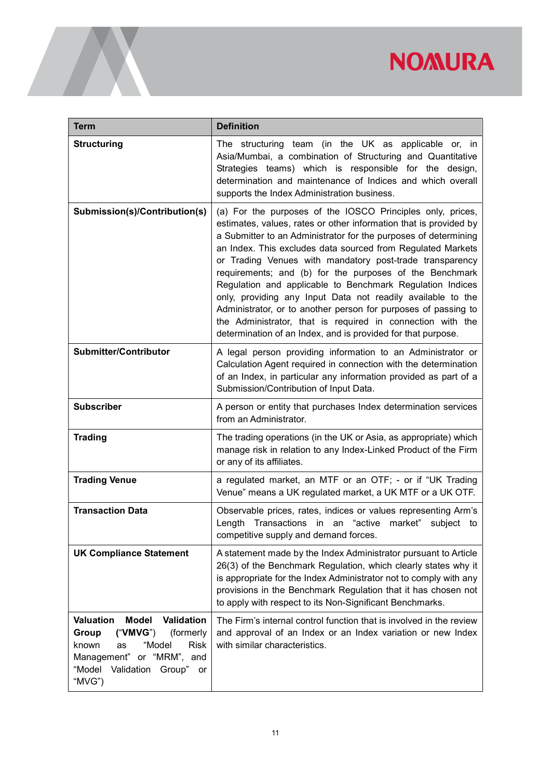| <b>Term</b>                                                                                                                                                                                             | <b>Definition</b>                                                                                                                                                                                                                                                                                                                                                                                                                                                                                                                                                                                                                                                                                                    |  |
|---------------------------------------------------------------------------------------------------------------------------------------------------------------------------------------------------------|----------------------------------------------------------------------------------------------------------------------------------------------------------------------------------------------------------------------------------------------------------------------------------------------------------------------------------------------------------------------------------------------------------------------------------------------------------------------------------------------------------------------------------------------------------------------------------------------------------------------------------------------------------------------------------------------------------------------|--|
| <b>Structuring</b>                                                                                                                                                                                      | The structuring team (in the UK as applicable or, in<br>Asia/Mumbai, a combination of Structuring and Quantitative<br>Strategies teams) which is responsible for the design,<br>determination and maintenance of Indices and which overall<br>supports the Index Administration business.                                                                                                                                                                                                                                                                                                                                                                                                                            |  |
| Submission(s)/Contribution(s)                                                                                                                                                                           | (a) For the purposes of the IOSCO Principles only, prices,<br>estimates, values, rates or other information that is provided by<br>a Submitter to an Administrator for the purposes of determining<br>an Index. This excludes data sourced from Regulated Markets<br>or Trading Venues with mandatory post-trade transparency<br>requirements; and (b) for the purposes of the Benchmark<br>Regulation and applicable to Benchmark Regulation Indices<br>only, providing any Input Data not readily available to the<br>Administrator, or to another person for purposes of passing to<br>the Administrator, that is required in connection with the<br>determination of an Index, and is provided for that purpose. |  |
| <b>Submitter/Contributor</b>                                                                                                                                                                            | A legal person providing information to an Administrator or<br>Calculation Agent required in connection with the determination<br>of an Index, in particular any information provided as part of a<br>Submission/Contribution of Input Data.                                                                                                                                                                                                                                                                                                                                                                                                                                                                         |  |
| <b>Subscriber</b>                                                                                                                                                                                       | A person or entity that purchases Index determination services<br>from an Administrator.                                                                                                                                                                                                                                                                                                                                                                                                                                                                                                                                                                                                                             |  |
| <b>Trading</b>                                                                                                                                                                                          | The trading operations (in the UK or Asia, as appropriate) which<br>manage risk in relation to any Index-Linked Product of the Firm<br>or any of its affiliates.                                                                                                                                                                                                                                                                                                                                                                                                                                                                                                                                                     |  |
| <b>Trading Venue</b>                                                                                                                                                                                    | a regulated market, an MTF or an OTF; - or if "UK Trading<br>Venue" means a UK regulated market, a UK MTF or a UK OTF.                                                                                                                                                                                                                                                                                                                                                                                                                                                                                                                                                                                               |  |
| <b>Transaction Data</b>                                                                                                                                                                                 | Observable prices, rates, indices or values representing Arm's<br>Length Transactions in an "active market" subject to<br>competitive supply and demand forces.                                                                                                                                                                                                                                                                                                                                                                                                                                                                                                                                                      |  |
| <b>UK Compliance Statement</b>                                                                                                                                                                          | A statement made by the Index Administrator pursuant to Article<br>26(3) of the Benchmark Regulation, which clearly states why it<br>is appropriate for the Index Administrator not to comply with any<br>provisions in the Benchmark Regulation that it has chosen not<br>to apply with respect to its Non-Significant Benchmarks.                                                                                                                                                                                                                                                                                                                                                                                  |  |
| <b>Valuation</b><br><b>Model</b><br>Validation<br>("VMVG")<br>Group<br>(formerly<br>"Model<br><b>Risk</b><br>known<br>as<br>Management" or "MRM", and<br>"Model<br>Validation<br>Group"<br>or<br>"MVG") | The Firm's internal control function that is involved in the review<br>and approval of an Index or an Index variation or new Index<br>with similar characteristics.                                                                                                                                                                                                                                                                                                                                                                                                                                                                                                                                                  |  |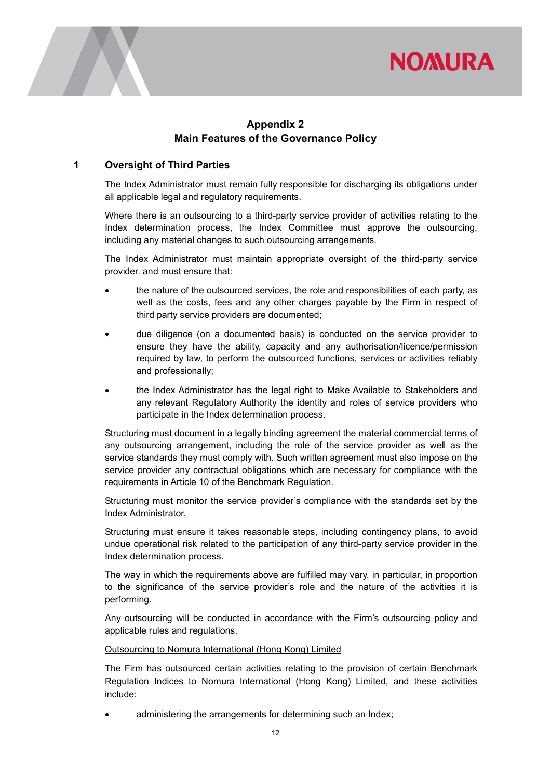



## Appendix 2 Main Features of the Governance Policy

#### 1 Oversight of Third Parties

The Index Administrator must remain fully responsible for discharging its obligations under all applicable legal and regulatory requirements.

Where there is an outsourcing to a third-party service provider of activities relating to the Index determination process, the Index Committee must approve the outsourcing, including any material changes to such outsourcing arrangements.

The Index Administrator must maintain appropriate oversight of the third-party service provider. and must ensure that:

- the nature of the outsourced services, the role and responsibilities of each party, as well as the costs, fees and any other charges payable by the Firm in respect of third party service providers are documented;
- due diligence (on a documented basis) is conducted on the service provider to ensure they have the ability, capacity and any authorisation/licence/permission required by law, to perform the outsourced functions, services or activities reliably and professionally;
- the Index Administrator has the legal right to Make Available to Stakeholders and any relevant Regulatory Authority the identity and roles of service providers who participate in the Index determination process.

Structuring must document in a legally binding agreement the material commercial terms of any outsourcing arrangement, including the role of the service provider as well as the service standards they must comply with. Such written agreement must also impose on the service provider any contractual obligations which are necessary for compliance with the requirements in Article 10 of the Benchmark Regulation.

Structuring must monitor the service provider's compliance with the standards set by the Index Administrator.

Structuring must ensure it takes reasonable steps, including contingency plans, to avoid undue operational risk related to the participation of any third-party service provider in the Index determination process.

The way in which the requirements above are fulfilled may vary, in particular, in proportion to the significance of the service provider's role and the nature of the activities it is performing.

Any outsourcing will be conducted in accordance with the Firm's outsourcing policy and applicable rules and regulations.

#### Outsourcing to Nomura International (Hong Kong) Limited

The Firm has outsourced certain activities relating to the provision of certain Benchmark Regulation Indices to Nomura International (Hong Kong) Limited, and these activities include:

administering the arrangements for determining such an Index;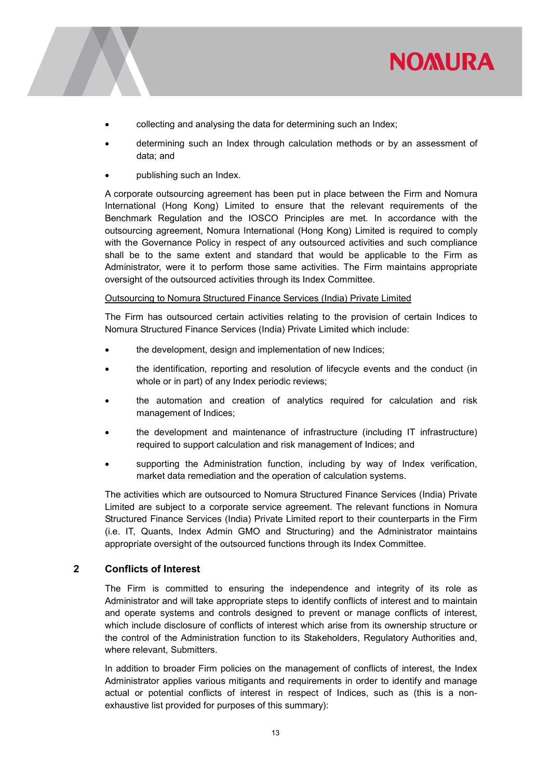

- collecting and analysing the data for determining such an Index;
- determining such an Index through calculation methods or by an assessment of data; and
- publishing such an Index.

A corporate outsourcing agreement has been put in place between the Firm and Nomura International (Hong Kong) Limited to ensure that the relevant requirements of the Benchmark Regulation and the IOSCO Principles are met. In accordance with the outsourcing agreement, Nomura International (Hong Kong) Limited is required to comply with the Governance Policy in respect of any outsourced activities and such compliance shall be to the same extent and standard that would be applicable to the Firm as Administrator, were it to perform those same activities. The Firm maintains appropriate oversight of the outsourced activities through its Index Committee.

#### Outsourcing to Nomura Structured Finance Services (India) Private Limited

The Firm has outsourced certain activities relating to the provision of certain Indices to Nomura Structured Finance Services (India) Private Limited which include:

- the development, design and implementation of new Indices;
- the identification, reporting and resolution of lifecycle events and the conduct (in whole or in part) of any Index periodic reviews;
- the automation and creation of analytics required for calculation and risk management of Indices;
- the development and maintenance of infrastructure (including IT infrastructure) required to support calculation and risk management of Indices; and
- supporting the Administration function, including by way of Index verification, market data remediation and the operation of calculation systems.

The activities which are outsourced to Nomura Structured Finance Services (India) Private Limited are subject to a corporate service agreement. The relevant functions in Nomura Structured Finance Services (India) Private Limited report to their counterparts in the Firm (i.e. IT, Quants, Index Admin GMO and Structuring) and the Administrator maintains appropriate oversight of the outsourced functions through its Index Committee.

#### 2 Conflicts of Interest

The Firm is committed to ensuring the independence and integrity of its role as Administrator and will take appropriate steps to identify conflicts of interest and to maintain and operate systems and controls designed to prevent or manage conflicts of interest, which include disclosure of conflicts of interest which arise from its ownership structure or the control of the Administration function to its Stakeholders, Regulatory Authorities and, where relevant, Submitters.

In addition to broader Firm policies on the management of conflicts of interest, the Index Administrator applies various mitigants and requirements in order to identify and manage actual or potential conflicts of interest in respect of Indices, such as (this is a nonexhaustive list provided for purposes of this summary):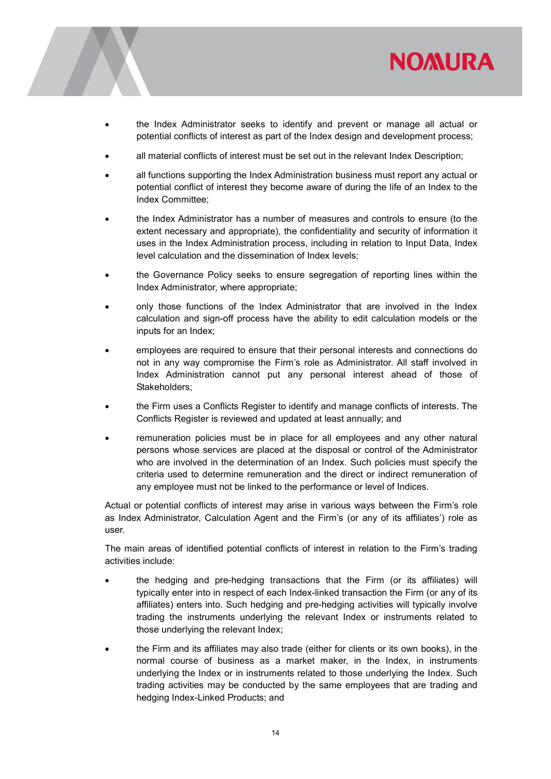



- the Index Administrator seeks to identify and prevent or manage all actual or potential conflicts of interest as part of the Index design and development process;
- all material conflicts of interest must be set out in the relevant Index Description;
- all functions supporting the Index Administration business must report any actual or potential conflict of interest they become aware of during the life of an Index to the Index Committee;
- the Index Administrator has a number of measures and controls to ensure (to the extent necessary and appropriate), the confidentiality and security of information it uses in the Index Administration process, including in relation to Input Data, Index level calculation and the dissemination of Index levels;
- the Governance Policy seeks to ensure segregation of reporting lines within the Index Administrator, where appropriate;
- only those functions of the Index Administrator that are involved in the Index calculation and sign-off process have the ability to edit calculation models or the inputs for an Index;
- employees are required to ensure that their personal interests and connections do not in any way compromise the Firm's role as Administrator. All staff involved in Index Administration cannot put any personal interest ahead of those of Stakeholders;
- the Firm uses a Conflicts Register to identify and manage conflicts of interests. The Conflicts Register is reviewed and updated at least annually; and
- remuneration policies must be in place for all employees and any other natural persons whose services are placed at the disposal or control of the Administrator who are involved in the determination of an Index. Such policies must specify the criteria used to determine remuneration and the direct or indirect remuneration of any employee must not be linked to the performance or level of Indices.

Actual or potential conflicts of interest may arise in various ways between the Firm's role as Index Administrator, Calculation Agent and the Firm's (or any of its affiliates') role as user.

The main areas of identified potential conflicts of interest in relation to the Firm's trading activities include:

- the hedging and pre-hedging transactions that the Firm (or its affiliates) will typically enter into in respect of each Index-linked transaction the Firm (or any of its affiliates) enters into. Such hedging and pre-hedging activities will typically involve trading the instruments underlying the relevant Index or instruments related to those underlying the relevant Index;
- the Firm and its affiliates may also trade (either for clients or its own books), in the normal course of business as a market maker, in the Index, in instruments underlying the Index or in instruments related to those underlying the Index. Such trading activities may be conducted by the same employees that are trading and hedging Index-Linked Products; and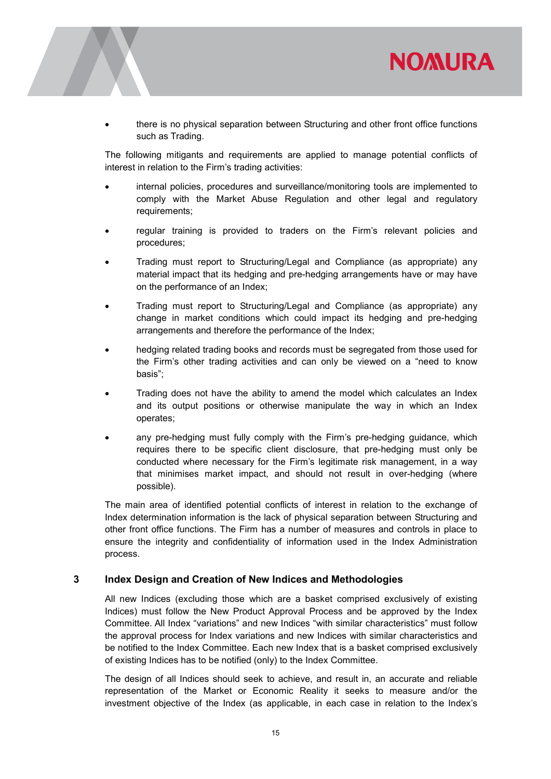

 there is no physical separation between Structuring and other front office functions such as Trading.

The following mitigants and requirements are applied to manage potential conflicts of interest in relation to the Firm's trading activities:

- internal policies, procedures and surveillance/monitoring tools are implemented to comply with the Market Abuse Regulation and other legal and regulatory requirements;
- regular training is provided to traders on the Firm's relevant policies and procedures;
- Trading must report to Structuring/Legal and Compliance (as appropriate) any material impact that its hedging and pre-hedging arrangements have or may have on the performance of an Index;
- Trading must report to Structuring/Legal and Compliance (as appropriate) any change in market conditions which could impact its hedging and pre-hedging arrangements and therefore the performance of the Index;
- hedging related trading books and records must be segregated from those used for the Firm's other trading activities and can only be viewed on a "need to know basis";
- Trading does not have the ability to amend the model which calculates an Index and its output positions or otherwise manipulate the way in which an Index operates;
- any pre-hedging must fully comply with the Firm's pre-hedging guidance, which requires there to be specific client disclosure, that pre-hedging must only be conducted where necessary for the Firm's legitimate risk management, in a way that minimises market impact, and should not result in over-hedging (where possible).

The main area of identified potential conflicts of interest in relation to the exchange of Index determination information is the lack of physical separation between Structuring and other front office functions. The Firm has a number of measures and controls in place to ensure the integrity and confidentiality of information used in the Index Administration process.

#### 3 Index Design and Creation of New Indices and Methodologies

All new Indices (excluding those which are a basket comprised exclusively of existing Indices) must follow the New Product Approval Process and be approved by the Index Committee. All Index "variations" and new Indices "with similar characteristics" must follow the approval process for Index variations and new Indices with similar characteristics and be notified to the Index Committee. Each new Index that is a basket comprised exclusively of existing Indices has to be notified (only) to the Index Committee.

The design of all Indices should seek to achieve, and result in, an accurate and reliable representation of the Market or Economic Reality it seeks to measure and/or the investment objective of the Index (as applicable, in each case in relation to the Index's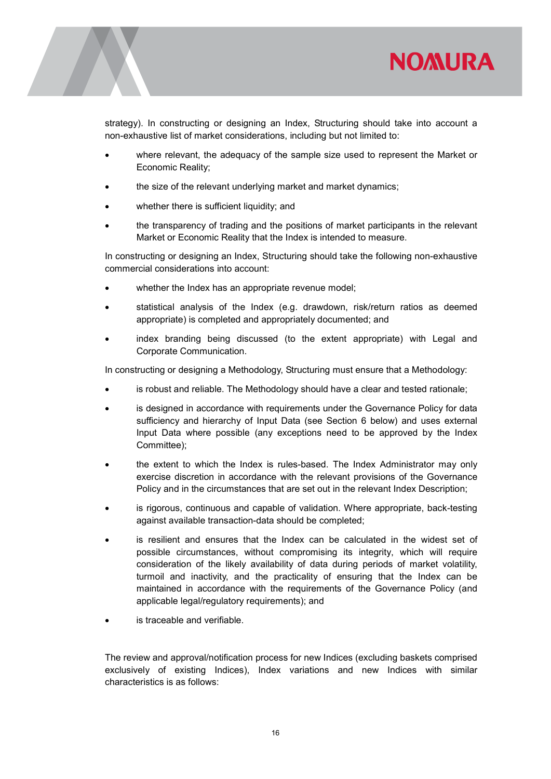

strategy). In constructing or designing an Index, Structuring should take into account a non-exhaustive list of market considerations, including but not limited to:

- where relevant, the adequacy of the sample size used to represent the Market or Economic Reality;
- the size of the relevant underlying market and market dynamics;
- whether there is sufficient liquidity; and
- the transparency of trading and the positions of market participants in the relevant Market or Economic Reality that the Index is intended to measure.

In constructing or designing an Index, Structuring should take the following non-exhaustive commercial considerations into account:

- whether the Index has an appropriate revenue model;
- statistical analysis of the Index (e.g. drawdown, risk/return ratios as deemed appropriate) is completed and appropriately documented; and
- index branding being discussed (to the extent appropriate) with Legal and Corporate Communication.

In constructing or designing a Methodology, Structuring must ensure that a Methodology:

- is robust and reliable. The Methodology should have a clear and tested rationale;
- is designed in accordance with requirements under the Governance Policy for data sufficiency and hierarchy of Input Data (see Section 6 below) and uses external Input Data where possible (any exceptions need to be approved by the Index Committee);
- the extent to which the Index is rules-based. The Index Administrator may only exercise discretion in accordance with the relevant provisions of the Governance Policy and in the circumstances that are set out in the relevant Index Description;
- is rigorous, continuous and capable of validation. Where appropriate, back-testing against available transaction-data should be completed;
- is resilient and ensures that the Index can be calculated in the widest set of possible circumstances, without compromising its integrity, which will require consideration of the likely availability of data during periods of market volatility, turmoil and inactivity, and the practicality of ensuring that the Index can be maintained in accordance with the requirements of the Governance Policy (and applicable legal/regulatory requirements); and
- is traceable and verifiable.

The review and approval/notification process for new Indices (excluding baskets comprised exclusively of existing Indices), Index variations and new Indices with similar characteristics is as follows: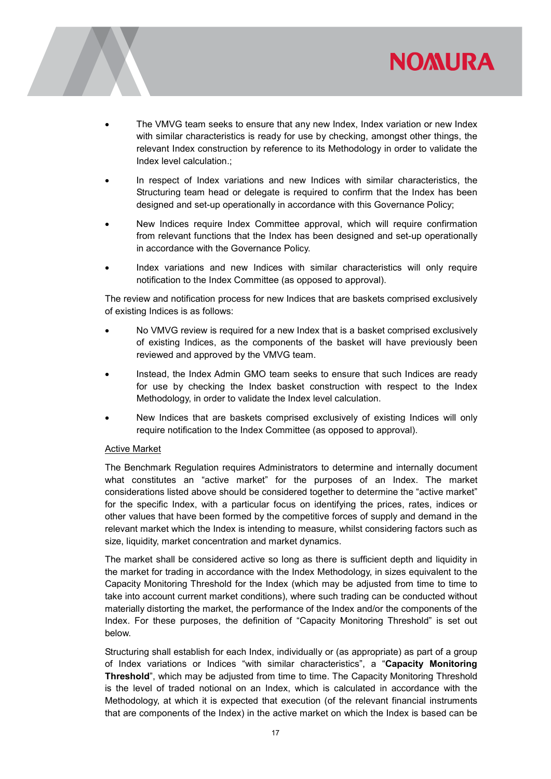



- The VMVG team seeks to ensure that any new Index, Index variation or new Index with similar characteristics is ready for use by checking, amongst other things, the relevant Index construction by reference to its Methodology in order to validate the Index level calculation.;
- In respect of Index variations and new Indices with similar characteristics, the Structuring team head or delegate is required to confirm that the Index has been designed and set-up operationally in accordance with this Governance Policy;
- New Indices require Index Committee approval, which will require confirmation from relevant functions that the Index has been designed and set-up operationally in accordance with the Governance Policy.
- Index variations and new Indices with similar characteristics will only require notification to the Index Committee (as opposed to approval).

The review and notification process for new Indices that are baskets comprised exclusively of existing Indices is as follows:

- No VMVG review is required for a new Index that is a basket comprised exclusively of existing Indices, as the components of the basket will have previously been reviewed and approved by the VMVG team.
- Instead, the Index Admin GMO team seeks to ensure that such Indices are ready for use by checking the Index basket construction with respect to the Index Methodology, in order to validate the Index level calculation.
- New Indices that are baskets comprised exclusively of existing Indices will only require notification to the Index Committee (as opposed to approval).

#### Active Market

The Benchmark Regulation requires Administrators to determine and internally document what constitutes an "active market" for the purposes of an Index. The market considerations listed above should be considered together to determine the "active market" for the specific Index, with a particular focus on identifying the prices, rates, indices or other values that have been formed by the competitive forces of supply and demand in the relevant market which the Index is intending to measure, whilst considering factors such as size, liquidity, market concentration and market dynamics.

The market shall be considered active so long as there is sufficient depth and liquidity in the market for trading in accordance with the Index Methodology, in sizes equivalent to the Capacity Monitoring Threshold for the Index (which may be adjusted from time to time to take into account current market conditions), where such trading can be conducted without materially distorting the market, the performance of the Index and/or the components of the Index. For these purposes, the definition of "Capacity Monitoring Threshold" is set out below.

Structuring shall establish for each Index, individually or (as appropriate) as part of a group of Index variations or Indices "with similar characteristics", a "Capacity Monitoring Threshold", which may be adjusted from time to time. The Capacity Monitoring Threshold is the level of traded notional on an Index, which is calculated in accordance with the Methodology, at which it is expected that execution (of the relevant financial instruments that are components of the Index) in the active market on which the Index is based can be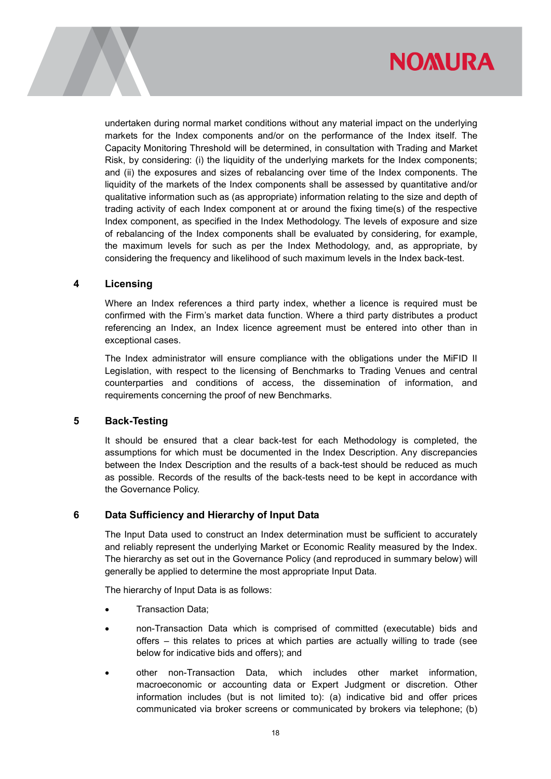

undertaken during normal market conditions without any material impact on the underlying markets for the Index components and/or on the performance of the Index itself. The Capacity Monitoring Threshold will be determined, in consultation with Trading and Market Risk, by considering: (i) the liquidity of the underlying markets for the Index components; and (ii) the exposures and sizes of rebalancing over time of the Index components. The liquidity of the markets of the Index components shall be assessed by quantitative and/or qualitative information such as (as appropriate) information relating to the size and depth of trading activity of each Index component at or around the fixing time(s) of the respective Index component, as specified in the Index Methodology. The levels of exposure and size of rebalancing of the Index components shall be evaluated by considering, for example, the maximum levels for such as per the Index Methodology, and, as appropriate, by considering the frequency and likelihood of such maximum levels in the Index back-test.

#### 4 Licensing

Where an Index references a third party index, whether a licence is required must be confirmed with the Firm's market data function. Where a third party distributes a product referencing an Index, an Index licence agreement must be entered into other than in exceptional cases.

The Index administrator will ensure compliance with the obligations under the MiFID II Legislation, with respect to the licensing of Benchmarks to Trading Venues and central counterparties and conditions of access, the dissemination of information, and requirements concerning the proof of new Benchmarks.

#### 5 Back-Testing

It should be ensured that a clear back-test for each Methodology is completed, the assumptions for which must be documented in the Index Description. Any discrepancies between the Index Description and the results of a back-test should be reduced as much as possible. Records of the results of the back-tests need to be kept in accordance with the Governance Policy.

### 6 Data Sufficiency and Hierarchy of Input Data

The Input Data used to construct an Index determination must be sufficient to accurately and reliably represent the underlying Market or Economic Reality measured by the Index. The hierarchy as set out in the Governance Policy (and reproduced in summary below) will generally be applied to determine the most appropriate Input Data.

The hierarchy of Input Data is as follows:

- Transaction Data;
- non-Transaction Data which is comprised of committed (executable) bids and offers – this relates to prices at which parties are actually willing to trade (see below for indicative bids and offers); and
- other non-Transaction Data, which includes other market information, macroeconomic or accounting data or Expert Judgment or discretion. Other information includes (but is not limited to): (a) indicative bid and offer prices communicated via broker screens or communicated by brokers via telephone; (b)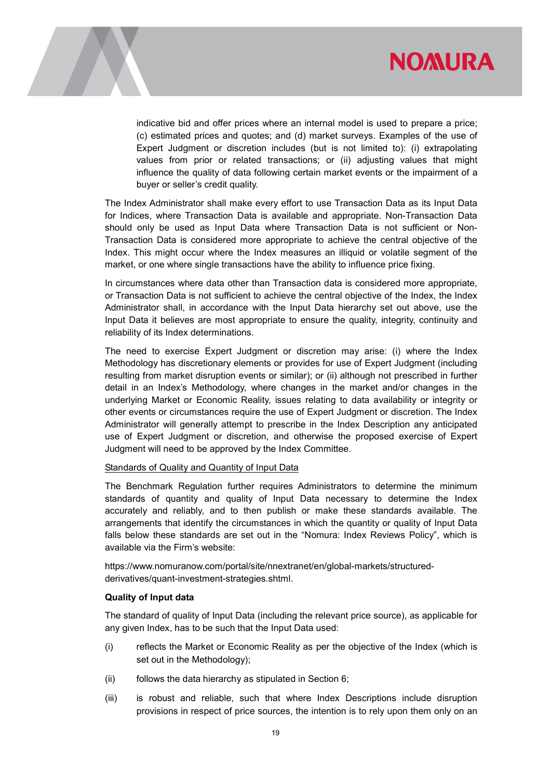



indicative bid and offer prices where an internal model is used to prepare a price; (c) estimated prices and quotes; and (d) market surveys. Examples of the use of Expert Judgment or discretion includes (but is not limited to): (i) extrapolating values from prior or related transactions; or (ii) adjusting values that might influence the quality of data following certain market events or the impairment of a buyer or seller's credit quality.

The Index Administrator shall make every effort to use Transaction Data as its Input Data for Indices, where Transaction Data is available and appropriate. Non-Transaction Data should only be used as Input Data where Transaction Data is not sufficient or Non-Transaction Data is considered more appropriate to achieve the central objective of the Index. This might occur where the Index measures an illiquid or volatile segment of the market, or one where single transactions have the ability to influence price fixing.

In circumstances where data other than Transaction data is considered more appropriate, or Transaction Data is not sufficient to achieve the central objective of the Index, the Index Administrator shall, in accordance with the Input Data hierarchy set out above, use the Input Data it believes are most appropriate to ensure the quality, integrity, continuity and reliability of its Index determinations.

The need to exercise Expert Judgment or discretion may arise: (i) where the Index Methodology has discretionary elements or provides for use of Expert Judgment (including resulting from market disruption events or similar); or (ii) although not prescribed in further detail in an Index's Methodology, where changes in the market and/or changes in the underlying Market or Economic Reality, issues relating to data availability or integrity or other events or circumstances require the use of Expert Judgment or discretion. The Index Administrator will generally attempt to prescribe in the Index Description any anticipated use of Expert Judgment or discretion, and otherwise the proposed exercise of Expert Judgment will need to be approved by the Index Committee.

#### Standards of Quality and Quantity of Input Data

The Benchmark Regulation further requires Administrators to determine the minimum standards of quantity and quality of Input Data necessary to determine the Index accurately and reliably, and to then publish or make these standards available. The arrangements that identify the circumstances in which the quantity or quality of Input Data falls below these standards are set out in the "Nomura: Index Reviews Policy", which is available via the Firm's website:

https://www.nomuranow.com/portal/site/nnextranet/en/global-markets/structuredderivatives/quant-investment-strategies.shtml.

#### Quality of Input data

The standard of quality of Input Data (including the relevant price source), as applicable for any given Index, has to be such that the Input Data used:

- (i) reflects the Market or Economic Reality as per the objective of the Index (which is set out in the Methodology);
- (ii) follows the data hierarchy as stipulated in Section 6;
- (iii) is robust and reliable, such that where Index Descriptions include disruption provisions in respect of price sources, the intention is to rely upon them only on an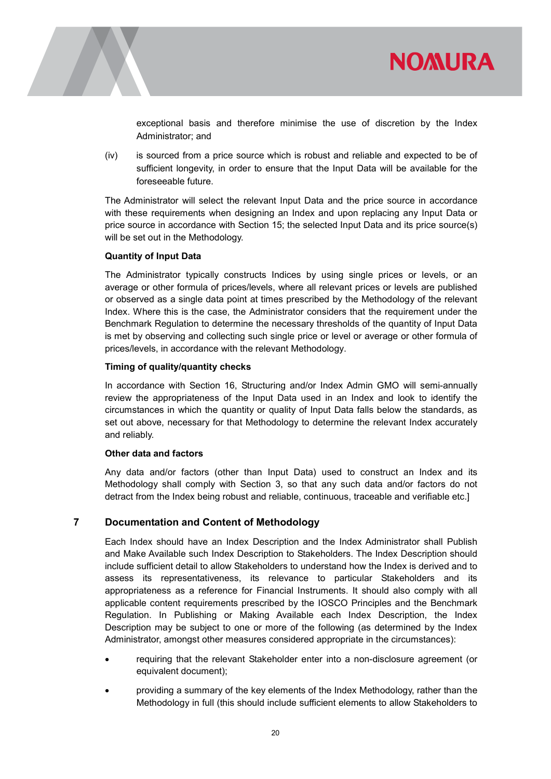



exceptional basis and therefore minimise the use of discretion by the Index Administrator; and

(iv) is sourced from a price source which is robust and reliable and expected to be of sufficient longevity, in order to ensure that the Input Data will be available for the foreseeable future.

The Administrator will select the relevant Input Data and the price source in accordance with these requirements when designing an Index and upon replacing any Input Data or price source in accordance with Section 15; the selected Input Data and its price source(s) will be set out in the Methodology.

#### Quantity of Input Data

The Administrator typically constructs Indices by using single prices or levels, or an average or other formula of prices/levels, where all relevant prices or levels are published or observed as a single data point at times prescribed by the Methodology of the relevant Index. Where this is the case, the Administrator considers that the requirement under the Benchmark Regulation to determine the necessary thresholds of the quantity of Input Data is met by observing and collecting such single price or level or average or other formula of prices/levels, in accordance with the relevant Methodology.

#### Timing of quality/quantity checks

In accordance with Section 16, Structuring and/or Index Admin GMO will semi-annually review the appropriateness of the Input Data used in an Index and look to identify the circumstances in which the quantity or quality of Input Data falls below the standards, as set out above, necessary for that Methodology to determine the relevant Index accurately and reliably.

#### Other data and factors

Any data and/or factors (other than Input Data) used to construct an Index and its Methodology shall comply with Section 3, so that any such data and/or factors do not detract from the Index being robust and reliable, continuous, traceable and verifiable etc.]

### 7 Documentation and Content of Methodology

Each Index should have an Index Description and the Index Administrator shall Publish and Make Available such Index Description to Stakeholders. The Index Description should include sufficient detail to allow Stakeholders to understand how the Index is derived and to assess its representativeness, its relevance to particular Stakeholders and its appropriateness as a reference for Financial Instruments. It should also comply with all applicable content requirements prescribed by the IOSCO Principles and the Benchmark Regulation. In Publishing or Making Available each Index Description, the Index Description may be subject to one or more of the following (as determined by the Index Administrator, amongst other measures considered appropriate in the circumstances):

- requiring that the relevant Stakeholder enter into a non-disclosure agreement (or equivalent document);
- providing a summary of the key elements of the Index Methodology, rather than the Methodology in full (this should include sufficient elements to allow Stakeholders to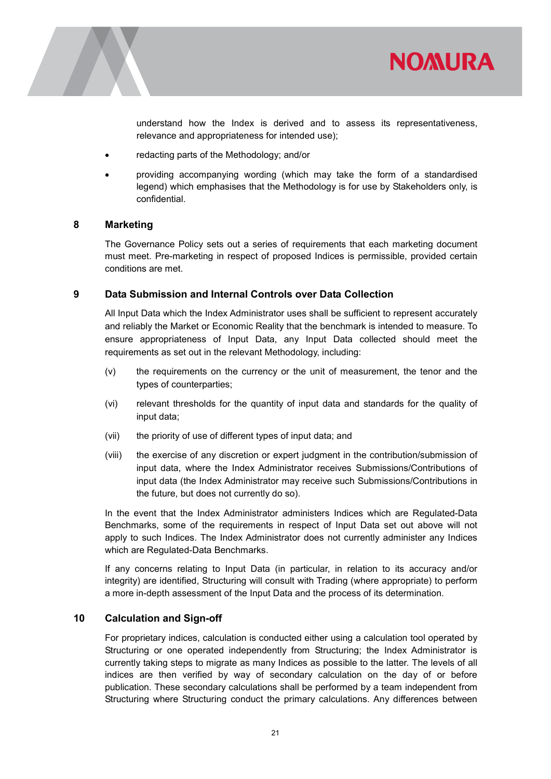



understand how the Index is derived and to assess its representativeness, relevance and appropriateness for intended use);

- redacting parts of the Methodology; and/or
- providing accompanying wording (which may take the form of a standardised legend) which emphasises that the Methodology is for use by Stakeholders only, is confidential.

#### 8 Marketing

The Governance Policy sets out a series of requirements that each marketing document must meet. Pre-marketing in respect of proposed Indices is permissible, provided certain conditions are met.

#### 9 Data Submission and Internal Controls over Data Collection

All Input Data which the Index Administrator uses shall be sufficient to represent accurately and reliably the Market or Economic Reality that the benchmark is intended to measure. To ensure appropriateness of Input Data, any Input Data collected should meet the requirements as set out in the relevant Methodology, including:

- (v) the requirements on the currency or the unit of measurement, the tenor and the types of counterparties;
- (vi) relevant thresholds for the quantity of input data and standards for the quality of input data;
- (vii) the priority of use of different types of input data; and
- (viii) the exercise of any discretion or expert judgment in the contribution/submission of input data, where the Index Administrator receives Submissions/Contributions of input data (the Index Administrator may receive such Submissions/Contributions in the future, but does not currently do so).

In the event that the Index Administrator administers Indices which are Regulated-Data Benchmarks, some of the requirements in respect of Input Data set out above will not apply to such Indices. The Index Administrator does not currently administer any Indices which are Regulated-Data Benchmarks.

If any concerns relating to Input Data (in particular, in relation to its accuracy and/or integrity) are identified, Structuring will consult with Trading (where appropriate) to perform a more in-depth assessment of the Input Data and the process of its determination.

#### 10 Calculation and Sign-off

For proprietary indices, calculation is conducted either using a calculation tool operated by Structuring or one operated independently from Structuring; the Index Administrator is currently taking steps to migrate as many Indices as possible to the latter. The levels of all indices are then verified by way of secondary calculation on the day of or before publication. These secondary calculations shall be performed by a team independent from Structuring where Structuring conduct the primary calculations. Any differences between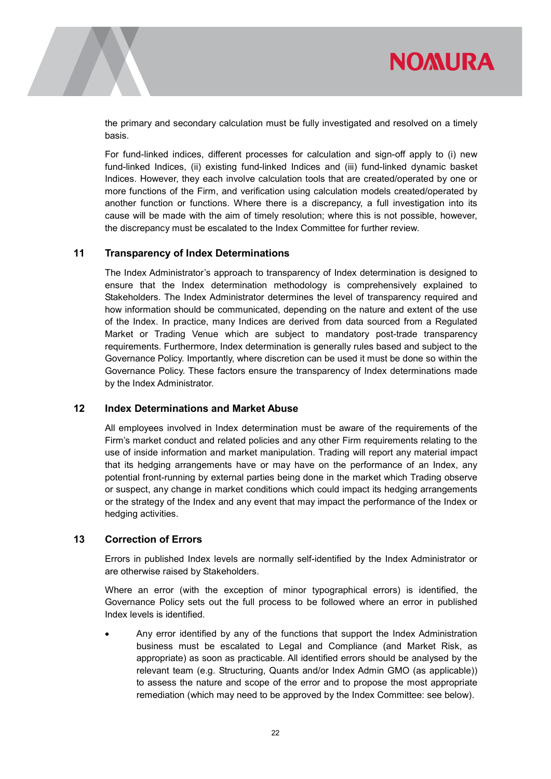

the primary and secondary calculation must be fully investigated and resolved on a timely basis.

For fund-linked indices, different processes for calculation and sign-off apply to (i) new fund-linked Indices, (ii) existing fund-linked Indices and (iii) fund-linked dynamic basket Indices. However, they each involve calculation tools that are created/operated by one or more functions of the Firm, and verification using calculation models created/operated by another function or functions. Where there is a discrepancy, a full investigation into its cause will be made with the aim of timely resolution; where this is not possible, however, the discrepancy must be escalated to the Index Committee for further review.

#### 11 Transparency of Index Determinations

The Index Administrator's approach to transparency of Index determination is designed to ensure that the Index determination methodology is comprehensively explained to Stakeholders. The Index Administrator determines the level of transparency required and how information should be communicated, depending on the nature and extent of the use of the Index. In practice, many Indices are derived from data sourced from a Regulated Market or Trading Venue which are subject to mandatory post-trade transparency requirements. Furthermore, Index determination is generally rules based and subject to the Governance Policy. Importantly, where discretion can be used it must be done so within the Governance Policy. These factors ensure the transparency of Index determinations made by the Index Administrator.

#### 12 Index Determinations and Market Abuse

All employees involved in Index determination must be aware of the requirements of the Firm's market conduct and related policies and any other Firm requirements relating to the use of inside information and market manipulation. Trading will report any material impact that its hedging arrangements have or may have on the performance of an Index, any potential front-running by external parties being done in the market which Trading observe or suspect, any change in market conditions which could impact its hedging arrangements or the strategy of the Index and any event that may impact the performance of the Index or hedging activities.

#### 13 Correction of Errors

Errors in published Index levels are normally self-identified by the Index Administrator or are otherwise raised by Stakeholders.

Where an error (with the exception of minor typographical errors) is identified, the Governance Policy sets out the full process to be followed where an error in published Index levels is identified.

 Any error identified by any of the functions that support the Index Administration business must be escalated to Legal and Compliance (and Market Risk, as appropriate) as soon as practicable. All identified errors should be analysed by the relevant team (e.g. Structuring, Quants and/or Index Admin GMO (as applicable)) to assess the nature and scope of the error and to propose the most appropriate remediation (which may need to be approved by the Index Committee: see below).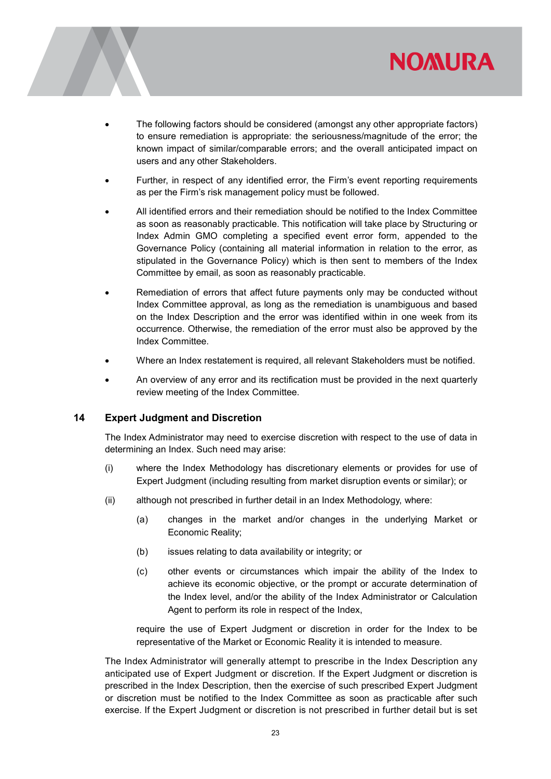

- - The following factors should be considered (amongst any other appropriate factors) to ensure remediation is appropriate: the seriousness/magnitude of the error; the known impact of similar/comparable errors; and the overall anticipated impact on users and any other Stakeholders.
	- Further, in respect of any identified error, the Firm's event reporting requirements as per the Firm's risk management policy must be followed.
	- All identified errors and their remediation should be notified to the Index Committee as soon as reasonably practicable. This notification will take place by Structuring or Index Admin GMO completing a specified event error form, appended to the Governance Policy (containing all material information in relation to the error, as stipulated in the Governance Policy) which is then sent to members of the Index Committee by email, as soon as reasonably practicable.
	- Remediation of errors that affect future payments only may be conducted without Index Committee approval, as long as the remediation is unambiguous and based on the Index Description and the error was identified within in one week from its occurrence. Otherwise, the remediation of the error must also be approved by the Index Committee.
	- Where an Index restatement is required, all relevant Stakeholders must be notified.
	- An overview of any error and its rectification must be provided in the next quarterly review meeting of the Index Committee.

#### 14 Expert Judgment and Discretion

The Index Administrator may need to exercise discretion with respect to the use of data in determining an Index. Such need may arise:

- (i) where the Index Methodology has discretionary elements or provides for use of Expert Judgment (including resulting from market disruption events or similar); or
- (ii) although not prescribed in further detail in an Index Methodology, where:
	- (a) changes in the market and/or changes in the underlying Market or Economic Reality;
	- (b) issues relating to data availability or integrity; or
	- (c) other events or circumstances which impair the ability of the Index to achieve its economic objective, or the prompt or accurate determination of the Index level, and/or the ability of the Index Administrator or Calculation Agent to perform its role in respect of the Index,

require the use of Expert Judgment or discretion in order for the Index to be representative of the Market or Economic Reality it is intended to measure.

The Index Administrator will generally attempt to prescribe in the Index Description any anticipated use of Expert Judgment or discretion. If the Expert Judgment or discretion is prescribed in the Index Description, then the exercise of such prescribed Expert Judgment or discretion must be notified to the Index Committee as soon as practicable after such exercise. If the Expert Judgment or discretion is not prescribed in further detail but is set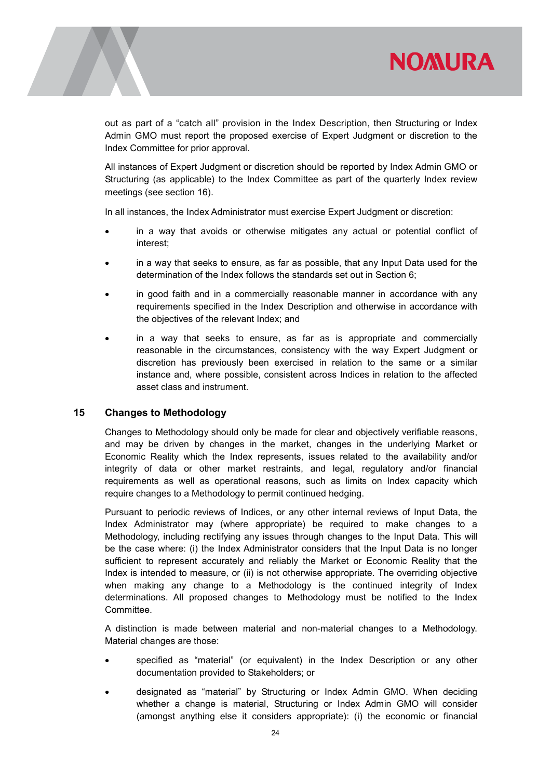

out as part of a "catch all" provision in the Index Description, then Structuring or Index Admin GMO must report the proposed exercise of Expert Judgment or discretion to the Index Committee for prior approval.

All instances of Expert Judgment or discretion should be reported by Index Admin GMO or Structuring (as applicable) to the Index Committee as part of the quarterly Index review meetings (see section 16).

In all instances, the Index Administrator must exercise Expert Judgment or discretion:

- in a way that avoids or otherwise mitigates any actual or potential conflict of interest;
- in a way that seeks to ensure, as far as possible, that any Input Data used for the determination of the Index follows the standards set out in Section 6;
- in good faith and in a commercially reasonable manner in accordance with any requirements specified in the Index Description and otherwise in accordance with the objectives of the relevant Index; and
- in a way that seeks to ensure, as far as is appropriate and commercially reasonable in the circumstances, consistency with the way Expert Judgment or discretion has previously been exercised in relation to the same or a similar instance and, where possible, consistent across Indices in relation to the affected asset class and instrument.

#### 15 Changes to Methodology

Changes to Methodology should only be made for clear and objectively verifiable reasons, and may be driven by changes in the market, changes in the underlying Market or Economic Reality which the Index represents, issues related to the availability and/or integrity of data or other market restraints, and legal, regulatory and/or financial requirements as well as operational reasons, such as limits on Index capacity which require changes to a Methodology to permit continued hedging.

Pursuant to periodic reviews of Indices, or any other internal reviews of Input Data, the Index Administrator may (where appropriate) be required to make changes to a Methodology, including rectifying any issues through changes to the Input Data. This will be the case where: (i) the Index Administrator considers that the Input Data is no longer sufficient to represent accurately and reliably the Market or Economic Reality that the Index is intended to measure, or (ii) is not otherwise appropriate. The overriding objective when making any change to a Methodology is the continued integrity of Index determinations. All proposed changes to Methodology must be notified to the Index Committee.

A distinction is made between material and non-material changes to a Methodology. Material changes are those:

- specified as "material" (or equivalent) in the Index Description or any other documentation provided to Stakeholders; or
- designated as "material" by Structuring or Index Admin GMO. When deciding whether a change is material, Structuring or Index Admin GMO will consider (amongst anything else it considers appropriate): (i) the economic or financial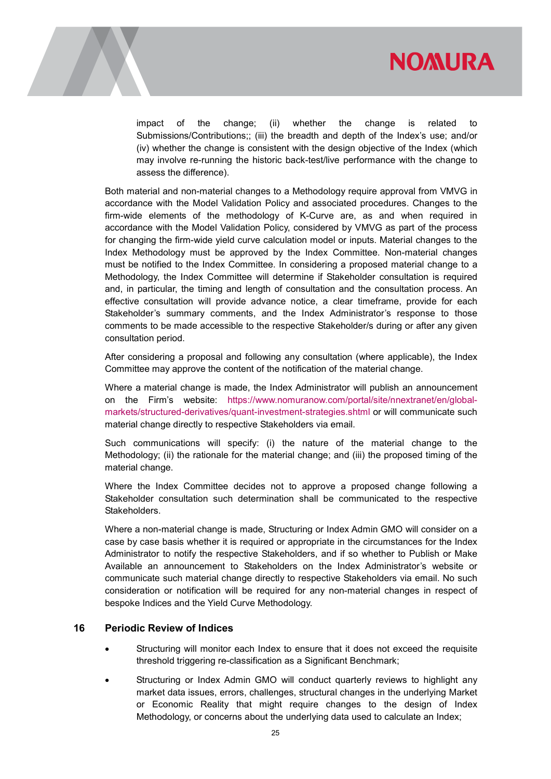



impact of the change; (ii) whether the change is related to Submissions/Contributions;; (iii) the breadth and depth of the Index's use; and/or (iv) whether the change is consistent with the design objective of the Index (which may involve re-running the historic back-test/live performance with the change to assess the difference).

Both material and non-material changes to a Methodology require approval from VMVG in accordance with the Model Validation Policy and associated procedures. Changes to the firm-wide elements of the methodology of K-Curve are, as and when required in accordance with the Model Validation Policy, considered by VMVG as part of the process for changing the firm-wide yield curve calculation model or inputs. Material changes to the Index Methodology must be approved by the Index Committee. Non-material changes must be notified to the Index Committee. In considering a proposed material change to a Methodology, the Index Committee will determine if Stakeholder consultation is required and, in particular, the timing and length of consultation and the consultation process. An effective consultation will provide advance notice, a clear timeframe, provide for each Stakeholder's summary comments, and the Index Administrator's response to those comments to be made accessible to the respective Stakeholder/s during or after any given consultation period.

After considering a proposal and following any consultation (where applicable), the Index Committee may approve the content of the notification of the material change.

Where a material change is made, the Index Administrator will publish an announcement on the Firm's website: https://www.nomuranow.com/portal/site/nnextranet/en/globalmarkets/structured-derivatives/quant-investment-strategies.shtml or will communicate such material change directly to respective Stakeholders via email.

Such communications will specify: (i) the nature of the material change to the Methodology; (ii) the rationale for the material change; and (iii) the proposed timing of the material change.

Where the Index Committee decides not to approve a proposed change following a Stakeholder consultation such determination shall be communicated to the respective Stakeholders.

Where a non-material change is made, Structuring or Index Admin GMO will consider on a case by case basis whether it is required or appropriate in the circumstances for the Index Administrator to notify the respective Stakeholders, and if so whether to Publish or Make Available an announcement to Stakeholders on the Index Administrator's website or communicate such material change directly to respective Stakeholders via email. No such consideration or notification will be required for any non-material changes in respect of bespoke Indices and the Yield Curve Methodology.

#### 16 Periodic Review of Indices

- Structuring will monitor each Index to ensure that it does not exceed the requisite threshold triggering re-classification as a Significant Benchmark;
- Structuring or Index Admin GMO will conduct quarterly reviews to highlight any market data issues, errors, challenges, structural changes in the underlying Market or Economic Reality that might require changes to the design of Index Methodology, or concerns about the underlying data used to calculate an Index;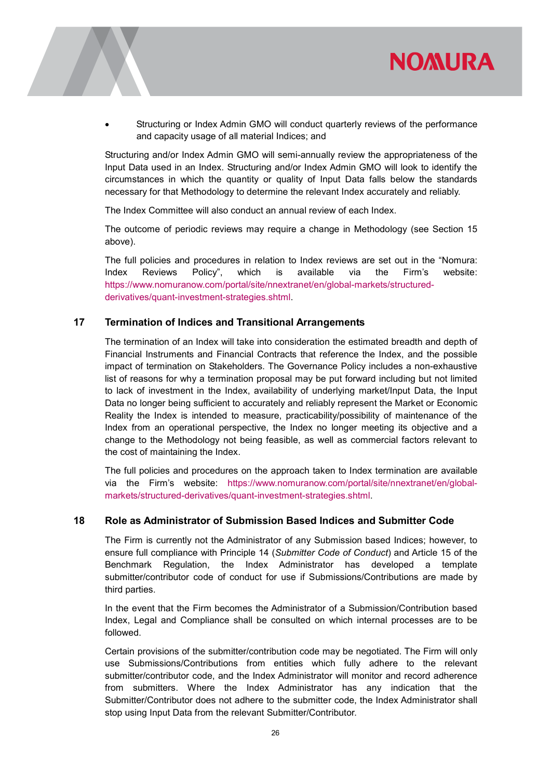

 Structuring or Index Admin GMO will conduct quarterly reviews of the performance and capacity usage of all material Indices; and

Structuring and/or Index Admin GMO will semi-annually review the appropriateness of the Input Data used in an Index. Structuring and/or Index Admin GMO will look to identify the circumstances in which the quantity or quality of Input Data falls below the standards necessary for that Methodology to determine the relevant Index accurately and reliably.

The Index Committee will also conduct an annual review of each Index.

The outcome of periodic reviews may require a change in Methodology (see Section 15 above).

The full policies and procedures in relation to Index reviews are set out in the "Nomura: Index Reviews Policy", which is available via the Firm's website: https://www.nomuranow.com/portal/site/nnextranet/en/global-markets/structuredderivatives/quant-investment-strategies.shtml.

#### 17 Termination of Indices and Transitional Arrangements

The termination of an Index will take into consideration the estimated breadth and depth of Financial Instruments and Financial Contracts that reference the Index, and the possible impact of termination on Stakeholders. The Governance Policy includes a non-exhaustive list of reasons for why a termination proposal may be put forward including but not limited to lack of investment in the Index, availability of underlying market/Input Data, the Input Data no longer being sufficient to accurately and reliably represent the Market or Economic Reality the Index is intended to measure, practicability/possibility of maintenance of the Index from an operational perspective, the Index no longer meeting its objective and a change to the Methodology not being feasible, as well as commercial factors relevant to the cost of maintaining the Index.

The full policies and procedures on the approach taken to Index termination are available via the Firm's website: https://www.nomuranow.com/portal/site/nnextranet/en/globalmarkets/structured-derivatives/quant-investment-strategies.shtml.

#### 18 Role as Administrator of Submission Based Indices and Submitter Code

The Firm is currently not the Administrator of any Submission based Indices; however, to ensure full compliance with Principle 14 (Submitter Code of Conduct) and Article 15 of the Benchmark Regulation, the Index Administrator has developed a template submitter/contributor code of conduct for use if Submissions/Contributions are made by third parties.

In the event that the Firm becomes the Administrator of a Submission/Contribution based Index, Legal and Compliance shall be consulted on which internal processes are to be followed.

Certain provisions of the submitter/contribution code may be negotiated. The Firm will only use Submissions/Contributions from entities which fully adhere to the relevant submitter/contributor code, and the Index Administrator will monitor and record adherence from submitters. Where the Index Administrator has any indication that the Submitter/Contributor does not adhere to the submitter code, the Index Administrator shall stop using Input Data from the relevant Submitter/Contributor.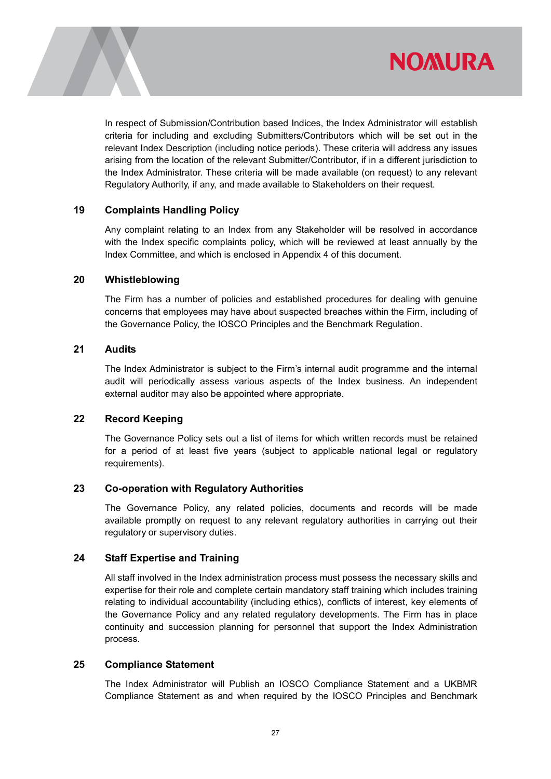



In respect of Submission/Contribution based Indices, the Index Administrator will establish criteria for including and excluding Submitters/Contributors which will be set out in the relevant Index Description (including notice periods). These criteria will address any issues arising from the location of the relevant Submitter/Contributor, if in a different jurisdiction to the Index Administrator. These criteria will be made available (on request) to any relevant Regulatory Authority, if any, and made available to Stakeholders on their request.

#### 19 Complaints Handling Policy

Any complaint relating to an Index from any Stakeholder will be resolved in accordance with the Index specific complaints policy, which will be reviewed at least annually by the Index Committee, and which is enclosed in Appendix 4 of this document.

#### 20 Whistleblowing

The Firm has a number of policies and established procedures for dealing with genuine concerns that employees may have about suspected breaches within the Firm, including of the Governance Policy, the IOSCO Principles and the Benchmark Regulation.

#### 21 Audits

The Index Administrator is subject to the Firm's internal audit programme and the internal audit will periodically assess various aspects of the Index business. An independent external auditor may also be appointed where appropriate.

### 22 Record Keeping

The Governance Policy sets out a list of items for which written records must be retained for a period of at least five years (subject to applicable national legal or regulatory requirements).

### 23 Co-operation with Regulatory Authorities

The Governance Policy, any related policies, documents and records will be made available promptly on request to any relevant regulatory authorities in carrying out their regulatory or supervisory duties.

### 24 Staff Expertise and Training

All staff involved in the Index administration process must possess the necessary skills and expertise for their role and complete certain mandatory staff training which includes training relating to individual accountability (including ethics), conflicts of interest, key elements of the Governance Policy and any related regulatory developments. The Firm has in place continuity and succession planning for personnel that support the Index Administration process.

### 25 Compliance Statement

The Index Administrator will Publish an IOSCO Compliance Statement and a UKBMR Compliance Statement as and when required by the IOSCO Principles and Benchmark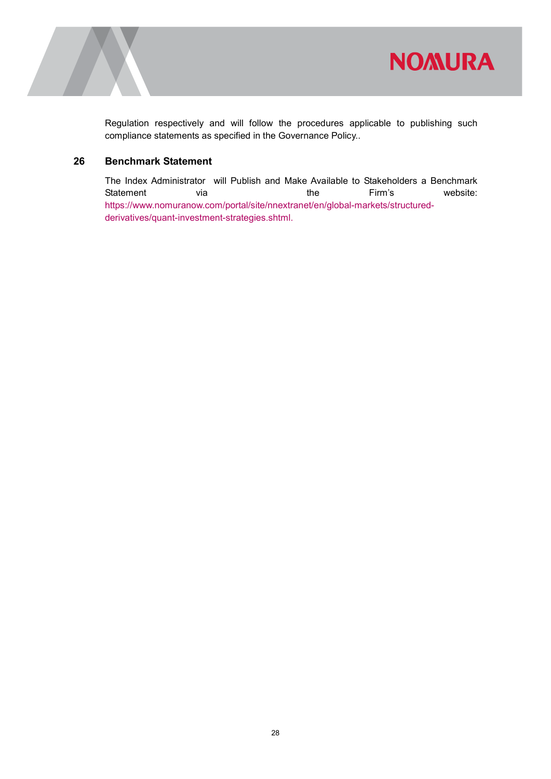

Regulation respectively and will follow the procedures applicable to publishing such compliance statements as specified in the Governance Policy..

### 26 Benchmark Statement

The Index Administrator will Publish and Make Available to Stakeholders a Benchmark Statement via via the Firm's website: https://www.nomuranow.com/portal/site/nnextranet/en/global-markets/structuredderivatives/quant-investment-strategies.shtml.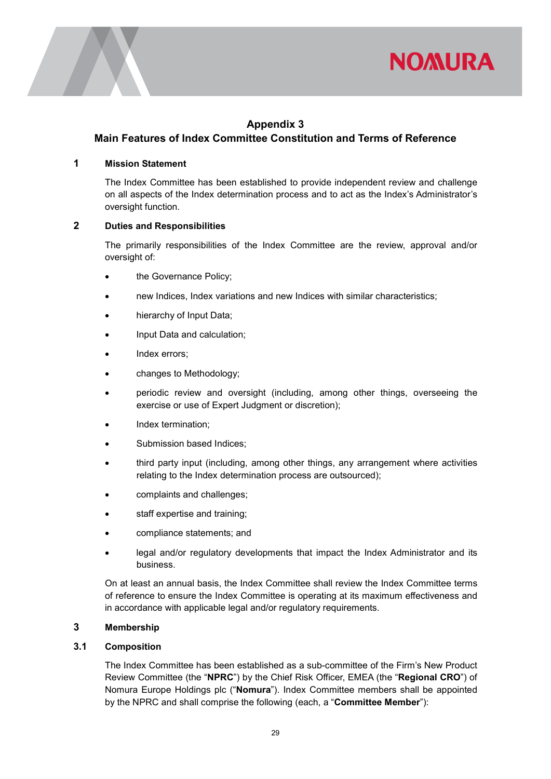



### Appendix 3

### Main Features of Index Committee Constitution and Terms of Reference

#### 1 Mission Statement

The Index Committee has been established to provide independent review and challenge on all aspects of the Index determination process and to act as the Index's Administrator's oversight function.

#### 2 Duties and Responsibilities

The primarily responsibilities of the Index Committee are the review, approval and/or oversight of:

- the Governance Policy;
- new Indices, Index variations and new Indices with similar characteristics;
- hierarchy of Input Data;
- Input Data and calculation;
- Index errors;
- changes to Methodology;
- periodic review and oversight (including, among other things, overseeing the exercise or use of Expert Judgment or discretion);
- Index termination;
- Submission based Indices;
- third party input (including, among other things, any arrangement where activities relating to the Index determination process are outsourced);
- complaints and challenges;
- staff expertise and training;
- compliance statements; and
- legal and/or regulatory developments that impact the Index Administrator and its business.

On at least an annual basis, the Index Committee shall review the Index Committee terms of reference to ensure the Index Committee is operating at its maximum effectiveness and in accordance with applicable legal and/or regulatory requirements.

#### 3 Membership

#### 3.1 Composition

The Index Committee has been established as a sub-committee of the Firm's New Product Review Committee (the "NPRC") by the Chief Risk Officer, EMEA (the "Regional CRO") of Nomura Europe Holdings plc ("Nomura"). Index Committee members shall be appointed by the NPRC and shall comprise the following (each, a "Committee Member"):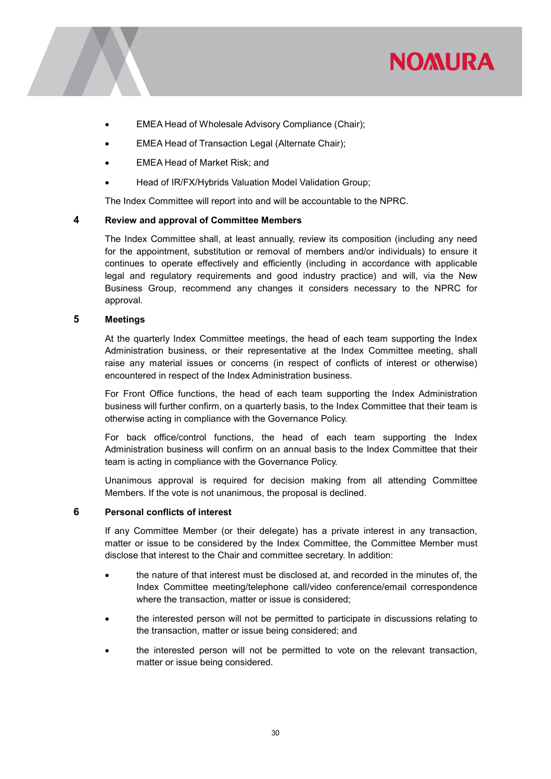

- EMEA Head of Wholesale Advisory Compliance (Chair);
- EMEA Head of Transaction Legal (Alternate Chair);
- EMEA Head of Market Risk; and
- Head of IR/FX/Hybrids Valuation Model Validation Group;

The Index Committee will report into and will be accountable to the NPRC.

#### 4 Review and approval of Committee Members

The Index Committee shall, at least annually, review its composition (including any need for the appointment, substitution or removal of members and/or individuals) to ensure it continues to operate effectively and efficiently (including in accordance with applicable legal and regulatory requirements and good industry practice) and will, via the New Business Group, recommend any changes it considers necessary to the NPRC for approval.

#### 5 Meetings

At the quarterly Index Committee meetings, the head of each team supporting the Index Administration business, or their representative at the Index Committee meeting, shall raise any material issues or concerns (in respect of conflicts of interest or otherwise) encountered in respect of the Index Administration business.

For Front Office functions, the head of each team supporting the Index Administration business will further confirm, on a quarterly basis, to the Index Committee that their team is otherwise acting in compliance with the Governance Policy.

For back office/control functions, the head of each team supporting the Index Administration business will confirm on an annual basis to the Index Committee that their team is acting in compliance with the Governance Policy.

Unanimous approval is required for decision making from all attending Committee Members. If the vote is not unanimous, the proposal is declined.

#### 6 Personal conflicts of interest

If any Committee Member (or their delegate) has a private interest in any transaction, matter or issue to be considered by the Index Committee, the Committee Member must disclose that interest to the Chair and committee secretary. In addition:

- the nature of that interest must be disclosed at, and recorded in the minutes of, the Index Committee meeting/telephone call/video conference/email correspondence where the transaction, matter or issue is considered;
- the interested person will not be permitted to participate in discussions relating to the transaction, matter or issue being considered; and
- the interested person will not be permitted to vote on the relevant transaction, matter or issue being considered.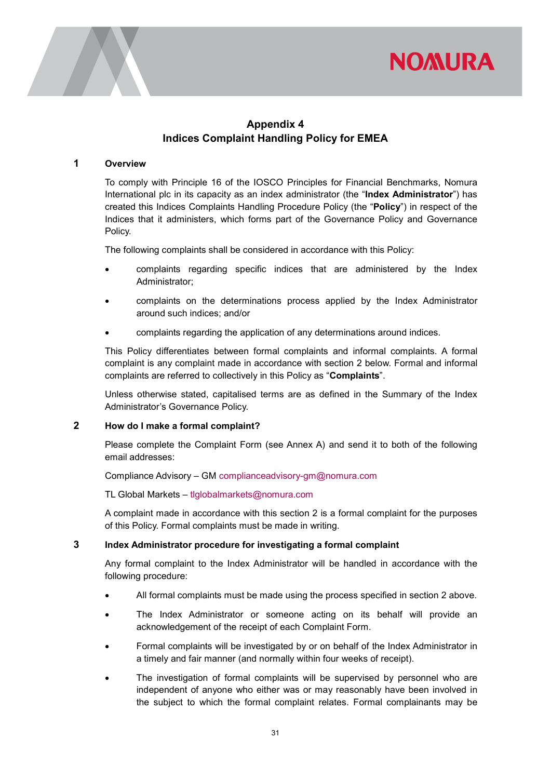



### Appendix 4 Indices Complaint Handling Policy for EMEA

#### 1 Overview

To comply with Principle 16 of the IOSCO Principles for Financial Benchmarks, Nomura International plc in its capacity as an index administrator (the "Index Administrator") has created this Indices Complaints Handling Procedure Policy (the "Policy") in respect of the Indices that it administers, which forms part of the Governance Policy and Governance Policy.

The following complaints shall be considered in accordance with this Policy:

- complaints regarding specific indices that are administered by the Index Administrator;
- complaints on the determinations process applied by the Index Administrator around such indices; and/or
- complaints regarding the application of any determinations around indices.

This Policy differentiates between formal complaints and informal complaints. A formal complaint is any complaint made in accordance with section 2 below. Formal and informal complaints are referred to collectively in this Policy as "Complaints".

Unless otherwise stated, capitalised terms are as defined in the Summary of the Index Administrator's Governance Policy.

#### 2 How do I make a formal complaint?

Please complete the Complaint Form (see Annex A) and send it to both of the following email addresses:

Compliance Advisory – GM complianceadvisory-gm@nomura.com

TL Global Markets – tlglobalmarkets@nomura.com

A complaint made in accordance with this section 2 is a formal complaint for the purposes of this Policy. Formal complaints must be made in writing.

#### 3 Index Administrator procedure for investigating a formal complaint

Any formal complaint to the Index Administrator will be handled in accordance with the following procedure:

- All formal complaints must be made using the process specified in section 2 above.
- The Index Administrator or someone acting on its behalf will provide an acknowledgement of the receipt of each Complaint Form.
- Formal complaints will be investigated by or on behalf of the Index Administrator in a timely and fair manner (and normally within four weeks of receipt).
- The investigation of formal complaints will be supervised by personnel who are independent of anyone who either was or may reasonably have been involved in the subject to which the formal complaint relates. Formal complainants may be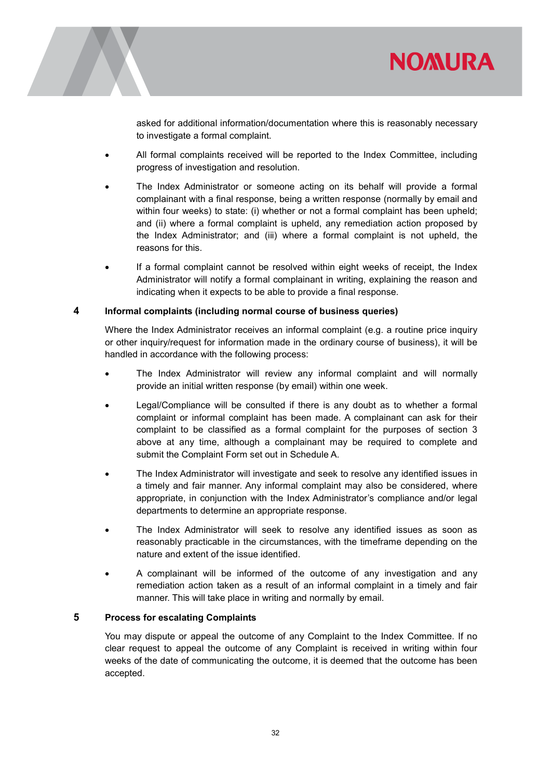



asked for additional information/documentation where this is reasonably necessary to investigate a formal complaint.

- All formal complaints received will be reported to the Index Committee, including progress of investigation and resolution.
- The Index Administrator or someone acting on its behalf will provide a formal complainant with a final response, being a written response (normally by email and within four weeks) to state: (i) whether or not a formal complaint has been upheld; and (ii) where a formal complaint is upheld, any remediation action proposed by the Index Administrator; and (iii) where a formal complaint is not upheld, the reasons for this.
- If a formal complaint cannot be resolved within eight weeks of receipt, the Index Administrator will notify a formal complainant in writing, explaining the reason and indicating when it expects to be able to provide a final response.

#### 4 Informal complaints (including normal course of business queries)

Where the Index Administrator receives an informal complaint (e.g. a routine price inquiry or other inquiry/request for information made in the ordinary course of business), it will be handled in accordance with the following process:

- The Index Administrator will review any informal complaint and will normally provide an initial written response (by email) within one week.
- Legal/Compliance will be consulted if there is any doubt as to whether a formal complaint or informal complaint has been made. A complainant can ask for their complaint to be classified as a formal complaint for the purposes of section 3 above at any time, although a complainant may be required to complete and submit the Complaint Form set out in Schedule A.
- The Index Administrator will investigate and seek to resolve any identified issues in a timely and fair manner. Any informal complaint may also be considered, where appropriate, in conjunction with the Index Administrator's compliance and/or legal departments to determine an appropriate response.
- The Index Administrator will seek to resolve any identified issues as soon as reasonably practicable in the circumstances, with the timeframe depending on the nature and extent of the issue identified.
- A complainant will be informed of the outcome of any investigation and any remediation action taken as a result of an informal complaint in a timely and fair manner. This will take place in writing and normally by email.

#### 5 Process for escalating Complaints

You may dispute or appeal the outcome of any Complaint to the Index Committee. If no clear request to appeal the outcome of any Complaint is received in writing within four weeks of the date of communicating the outcome, it is deemed that the outcome has been accepted.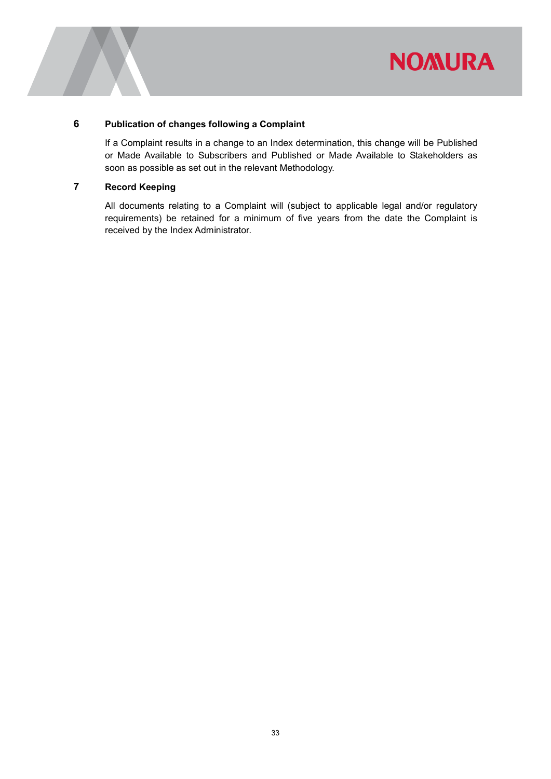

#### 6 Publication of changes following a Complaint

If a Complaint results in a change to an Index determination, this change will be Published or Made Available to Subscribers and Published or Made Available to Stakeholders as soon as possible as set out in the relevant Methodology.

### 7 Record Keeping

All documents relating to a Complaint will (subject to applicable legal and/or regulatory requirements) be retained for a minimum of five years from the date the Complaint is received by the Index Administrator.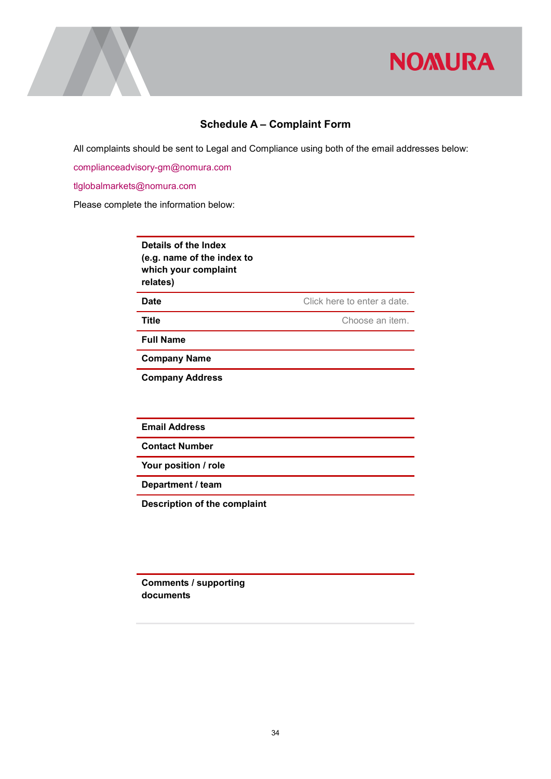

### Schedule A – Complaint Form

All complaints should be sent to Legal and Compliance using both of the email addresses below:

complianceadvisory-gm@nomura.com

tlglobalmarkets@nomura.com

Please complete the information below:

Details of the Index (e.g. name of the index to which your complaint relates)

**Date Date Click here to enter a date.** 

Title Choose an item.

Full Name

Company Name

Company Address

Email Address

Contact Number

Your position / role

Department / team

Description of the complaint

Comments / supporting documents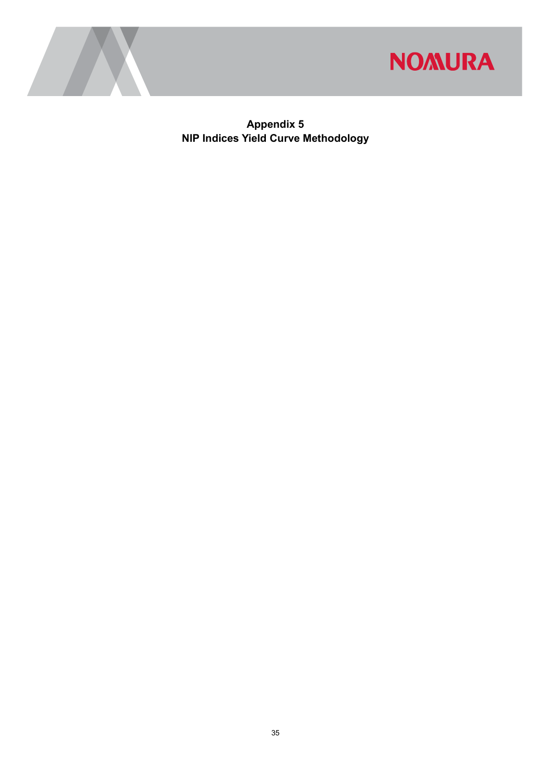



Appendix 5 NIP Indices Yield Curve Methodology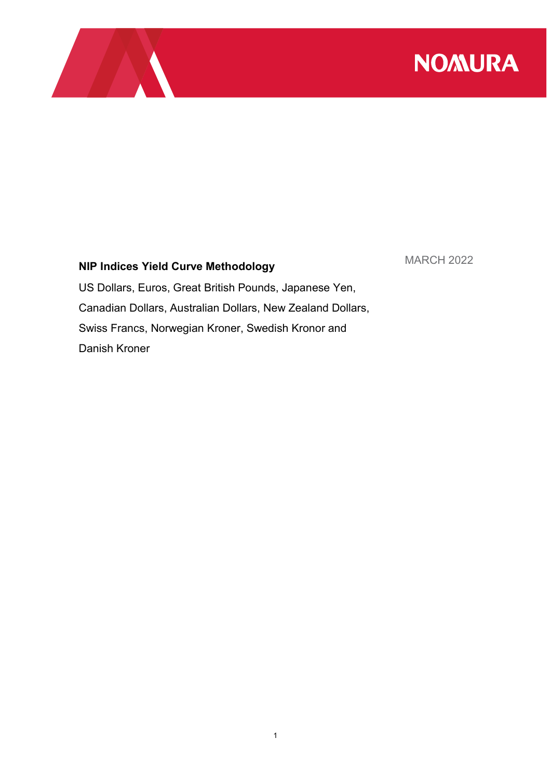

## NIP Indices Yield Curve Methodology

MARCH 2022

US Dollars, Euros, Great British Pounds, Japanese Yen, Canadian Dollars, Australian Dollars, New Zealand Dollars, Swiss Francs, Norwegian Kroner, Swedish Kronor and Danish Kroner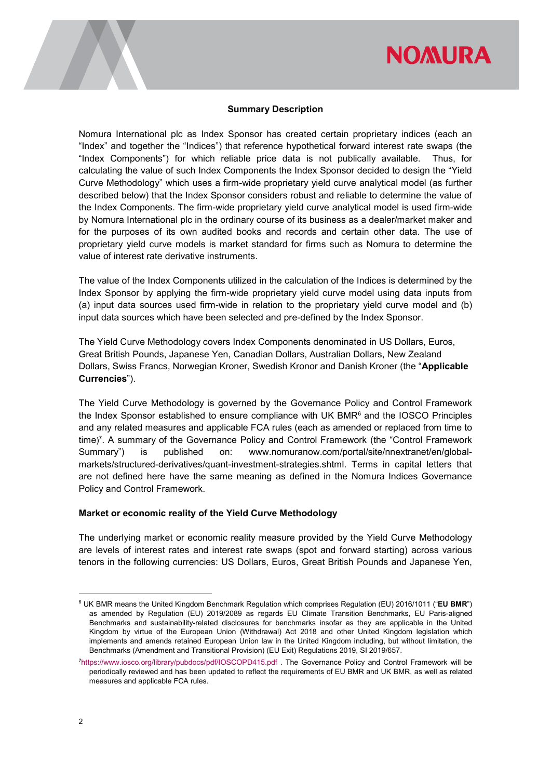#### Summary Description

Nomura International plc as Index Sponsor has created certain proprietary indices (each an "Index" and together the "Indices") that reference hypothetical forward interest rate swaps (the "Index Components") for which reliable price data is not publically available. Thus, for calculating the value of such Index Components the Index Sponsor decided to design the "Yield Curve Methodology" which uses a firm-wide proprietary yield curve analytical model (as further described below) that the Index Sponsor considers robust and reliable to determine the value of the Index Components. The firm-wide proprietary yield curve analytical model is used firm-wide by Nomura International plc in the ordinary course of its business as a dealer/market maker and for the purposes of its own audited books and records and certain other data. The use of proprietary yield curve models is market standard for firms such as Nomura to determine the value of interest rate derivative instruments.

The value of the Index Components utilized in the calculation of the Indices is determined by the Index Sponsor by applying the firm-wide proprietary yield curve model using data inputs from (a) input data sources used firm-wide in relation to the proprietary yield curve model and (b) input data sources which have been selected and pre-defined by the Index Sponsor.

The Yield Curve Methodology covers Index Components denominated in US Dollars, Euros, Great British Pounds, Japanese Yen, Canadian Dollars, Australian Dollars, New Zealand Dollars, Swiss Francs, Norwegian Kroner, Swedish Kronor and Danish Kroner (the "Applicable Currencies").

The Yield Curve Methodology is governed by the Governance Policy and Control Framework the Index Sponsor established to ensure compliance with UK BMR $<sup>6</sup>$  and the IOSCO Principles</sup> and any related measures and applicable FCA rules (each as amended or replaced from time to time) 7 . A summary of the Governance Policy and Control Framework (the "Control Framework Summary") is published on: www.nomuranow.com/portal/site/nnextranet/en/globalmarkets/structured-derivatives/quant-investment-strategies.shtml. Terms in capital letters that are not defined here have the same meaning as defined in the Nomura Indices Governance Policy and Control Framework.

#### Market or economic reality of the Yield Curve Methodology

The underlying market or economic reality measure provided by the Yield Curve Methodology are levels of interest rates and interest rate swaps (spot and forward starting) across various tenors in the following currencies: US Dollars, Euros, Great British Pounds and Japanese Yen,

-

<sup>&</sup>lt;sup>6</sup> UK BMR means the United Kingdom Benchmark Regulation which comprises Regulation (EU) 2016/1011 ("**EU BMR**") as amended by Regulation (EU) 2019/2089 as regards EU Climate Transition Benchmarks, EU Paris-aligned Benchmarks and sustainability-related disclosures for benchmarks insofar as they are applicable in the United Kingdom by virtue of the European Union (Withdrawal) Act 2018 and other United Kingdom legislation which implements and amends retained European Union law in the United Kingdom including, but without limitation, the Benchmarks (Amendment and Transitional Provision) (EU Exit) Regulations 2019, SI 2019/657.

<sup>7</sup>https://www.iosco.org/library/pubdocs/pdf/IOSCOPD415.pdf . The Governance Policy and Control Framework will be periodically reviewed and has been updated to reflect the requirements of EU BMR and UK BMR, as well as related measures and applicable FCA rules.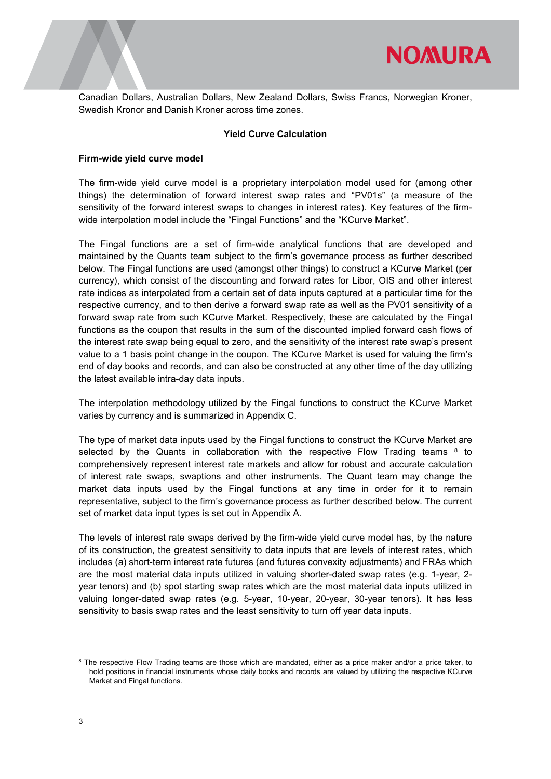

Canadian Dollars, Australian Dollars, New Zealand Dollars, Swiss Francs, Norwegian Kroner, Swedish Kronor and Danish Kroner across time zones.

#### Yield Curve Calculation

#### Firm-wide yield curve model

The firm-wide yield curve model is a proprietary interpolation model used for (among other things) the determination of forward interest swap rates and "PV01s" (a measure of the sensitivity of the forward interest swaps to changes in interest rates). Key features of the firmwide interpolation model include the "Fingal Functions" and the "KCurve Market".

The Fingal functions are a set of firm-wide analytical functions that are developed and maintained by the Quants team subject to the firm's governance process as further described below. The Fingal functions are used (amongst other things) to construct a KCurve Market (per currency), which consist of the discounting and forward rates for Libor, OIS and other interest rate indices as interpolated from a certain set of data inputs captured at a particular time for the respective currency, and to then derive a forward swap rate as well as the PV01 sensitivity of a forward swap rate from such KCurve Market. Respectively, these are calculated by the Fingal functions as the coupon that results in the sum of the discounted implied forward cash flows of the interest rate swap being equal to zero, and the sensitivity of the interest rate swap's present value to a 1 basis point change in the coupon. The KCurve Market is used for valuing the firm's end of day books and records, and can also be constructed at any other time of the day utilizing the latest available intra-day data inputs.

The interpolation methodology utilized by the Fingal functions to construct the KCurve Market varies by currency and is summarized in Appendix C.

The type of market data inputs used by the Fingal functions to construct the KCurve Market are selected by the Quants in collaboration with the respective Flow Trading teams  $8\,$  to comprehensively represent interest rate markets and allow for robust and accurate calculation of interest rate swaps, swaptions and other instruments. The Quant team may change the market data inputs used by the Fingal functions at any time in order for it to remain representative, subject to the firm's governance process as further described below. The current set of market data input types is set out in Appendix A.

The levels of interest rate swaps derived by the firm-wide yield curve model has, by the nature of its construction, the greatest sensitivity to data inputs that are levels of interest rates, which includes (a) short-term interest rate futures (and futures convexity adjustments) and FRAs which are the most material data inputs utilized in valuing shorter-dated swap rates (e.g. 1-year, 2 year tenors) and (b) spot starting swap rates which are the most material data inputs utilized in valuing longer-dated swap rates (e.g. 5-year, 10-year, 20-year, 30-year tenors). It has less sensitivity to basis swap rates and the least sensitivity to turn off year data inputs.

-

<sup>&</sup>lt;sup>8</sup> The respective Flow Trading teams are those which are mandated, either as a price maker and/or a price taker, to hold positions in financial instruments whose daily books and records are valued by utilizing the respective KCurve Market and Fingal functions.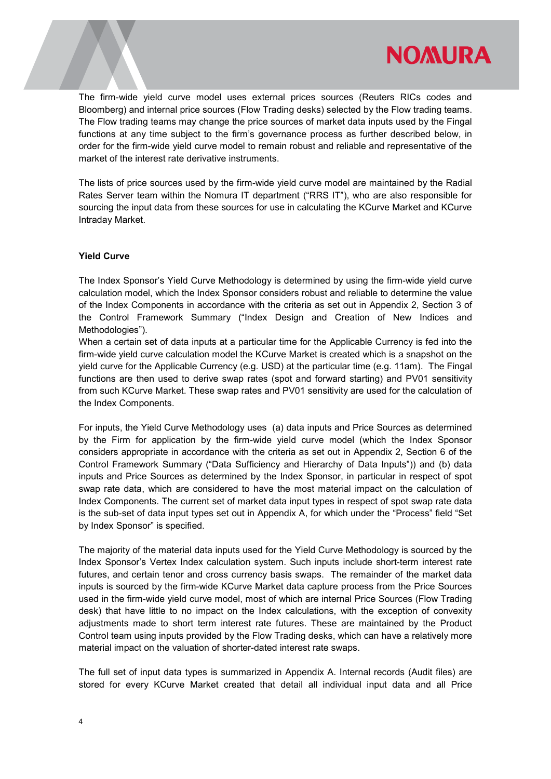

The firm-wide yield curve model uses external prices sources (Reuters RICs codes and Bloomberg) and internal price sources (Flow Trading desks) selected by the Flow trading teams. The Flow trading teams may change the price sources of market data inputs used by the Fingal functions at any time subject to the firm's governance process as further described below, in order for the firm-wide yield curve model to remain robust and reliable and representative of the market of the interest rate derivative instruments.

The lists of price sources used by the firm-wide yield curve model are maintained by the Radial Rates Server team within the Nomura IT department ("RRS IT"), who are also responsible for sourcing the input data from these sources for use in calculating the KCurve Market and KCurve Intraday Market.

#### Yield Curve

The Index Sponsor's Yield Curve Methodology is determined by using the firm-wide yield curve calculation model, which the Index Sponsor considers robust and reliable to determine the value of the Index Components in accordance with the criteria as set out in Appendix 2, Section 3 of the Control Framework Summary ("Index Design and Creation of New Indices and Methodologies").

When a certain set of data inputs at a particular time for the Applicable Currency is fed into the firm-wide yield curve calculation model the KCurve Market is created which is a snapshot on the yield curve for the Applicable Currency (e.g. USD) at the particular time (e.g. 11am). The Fingal functions are then used to derive swap rates (spot and forward starting) and PV01 sensitivity from such KCurve Market. These swap rates and PV01 sensitivity are used for the calculation of the Index Components.

For inputs, the Yield Curve Methodology uses (a) data inputs and Price Sources as determined by the Firm for application by the firm-wide yield curve model (which the Index Sponsor considers appropriate in accordance with the criteria as set out in Appendix 2, Section 6 of the Control Framework Summary ("Data Sufficiency and Hierarchy of Data Inputs")) and (b) data inputs and Price Sources as determined by the Index Sponsor, in particular in respect of spot swap rate data, which are considered to have the most material impact on the calculation of Index Components. The current set of market data input types in respect of spot swap rate data is the sub-set of data input types set out in Appendix A, for which under the "Process" field "Set by Index Sponsor" is specified.

The majority of the material data inputs used for the Yield Curve Methodology is sourced by the Index Sponsor's Vertex Index calculation system. Such inputs include short-term interest rate futures, and certain tenor and cross currency basis swaps. The remainder of the market data inputs is sourced by the firm-wide KCurve Market data capture process from the Price Sources used in the firm-wide yield curve model, most of which are internal Price Sources (Flow Trading desk) that have little to no impact on the Index calculations, with the exception of convexity adjustments made to short term interest rate futures. These are maintained by the Product Control team using inputs provided by the Flow Trading desks, which can have a relatively more material impact on the valuation of shorter-dated interest rate swaps.

The full set of input data types is summarized in Appendix A. Internal records (Audit files) are stored for every KCurve Market created that detail all individual input data and all Price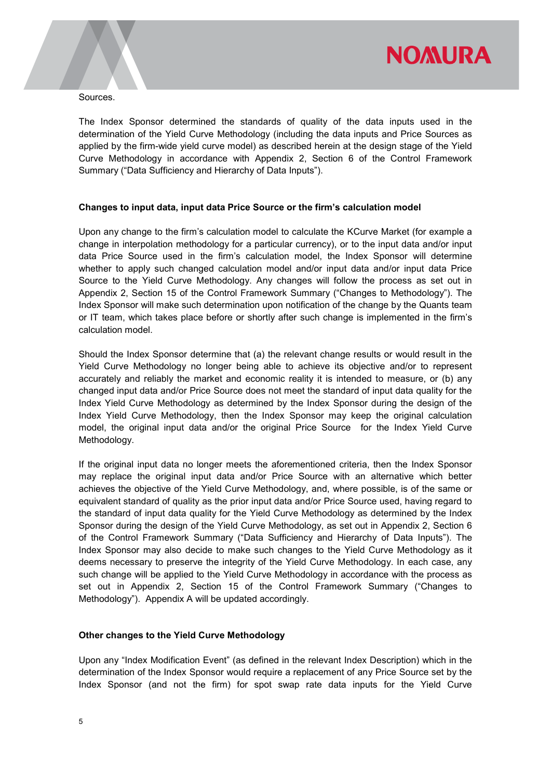

Sources.

The Index Sponsor determined the standards of quality of the data inputs used in the determination of the Yield Curve Methodology (including the data inputs and Price Sources as applied by the firm-wide yield curve model) as described herein at the design stage of the Yield Curve Methodology in accordance with Appendix 2, Section 6 of the Control Framework Summary ("Data Sufficiency and Hierarchy of Data Inputs").

#### Changes to input data, input data Price Source or the firm's calculation model

Upon any change to the firm's calculation model to calculate the KCurve Market (for example a change in interpolation methodology for a particular currency), or to the input data and/or input data Price Source used in the firm's calculation model, the Index Sponsor will determine whether to apply such changed calculation model and/or input data and/or input data Price Source to the Yield Curve Methodology. Any changes will follow the process as set out in Appendix 2, Section 15 of the Control Framework Summary ("Changes to Methodology"). The Index Sponsor will make such determination upon notification of the change by the Quants team or IT team, which takes place before or shortly after such change is implemented in the firm's calculation model.

Should the Index Sponsor determine that (a) the relevant change results or would result in the Yield Curve Methodology no longer being able to achieve its objective and/or to represent accurately and reliably the market and economic reality it is intended to measure, or (b) any changed input data and/or Price Source does not meet the standard of input data quality for the Index Yield Curve Methodology as determined by the Index Sponsor during the design of the Index Yield Curve Methodology, then the Index Sponsor may keep the original calculation model, the original input data and/or the original Price Source for the Index Yield Curve Methodology.

If the original input data no longer meets the aforementioned criteria, then the Index Sponsor may replace the original input data and/or Price Source with an alternative which better achieves the objective of the Yield Curve Methodology, and, where possible, is of the same or equivalent standard of quality as the prior input data and/or Price Source used, having regard to the standard of input data quality for the Yield Curve Methodology as determined by the Index Sponsor during the design of the Yield Curve Methodology, as set out in Appendix 2, Section 6 of the Control Framework Summary ("Data Sufficiency and Hierarchy of Data Inputs"). The Index Sponsor may also decide to make such changes to the Yield Curve Methodology as it deems necessary to preserve the integrity of the Yield Curve Methodology. In each case, any such change will be applied to the Yield Curve Methodology in accordance with the process as set out in Appendix 2, Section 15 of the Control Framework Summary ("Changes to Methodology"). Appendix A will be updated accordingly.

#### Other changes to the Yield Curve Methodology

Upon any "Index Modification Event" (as defined in the relevant Index Description) which in the determination of the Index Sponsor would require a replacement of any Price Source set by the Index Sponsor (and not the firm) for spot swap rate data inputs for the Yield Curve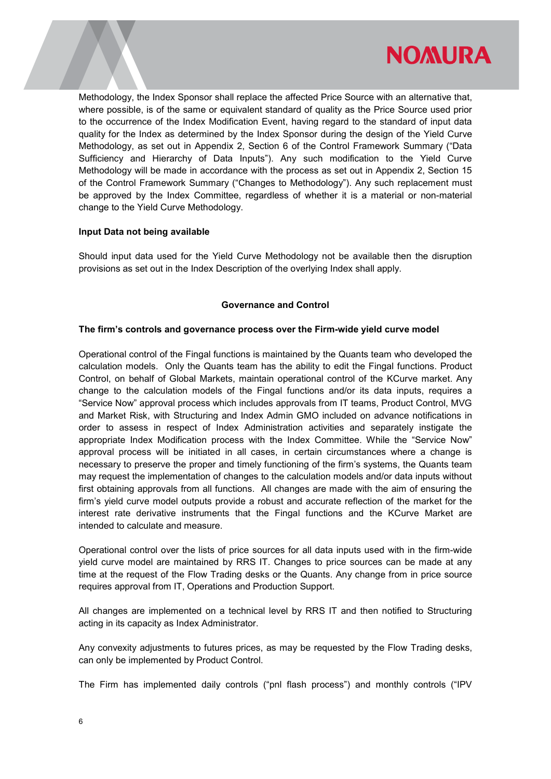

Methodology, the Index Sponsor shall replace the affected Price Source with an alternative that, where possible, is of the same or equivalent standard of quality as the Price Source used prior to the occurrence of the Index Modification Event, having regard to the standard of input data quality for the Index as determined by the Index Sponsor during the design of the Yield Curve Methodology, as set out in Appendix 2, Section 6 of the Control Framework Summary ("Data Sufficiency and Hierarchy of Data Inputs"). Any such modification to the Yield Curve Methodology will be made in accordance with the process as set out in Appendix 2, Section 15 of the Control Framework Summary ("Changes to Methodology"). Any such replacement must be approved by the Index Committee, regardless of whether it is a material or non-material change to the Yield Curve Methodology.

#### Input Data not being available

Should input data used for the Yield Curve Methodology not be available then the disruption provisions as set out in the Index Description of the overlying Index shall apply.

#### Governance and Control

#### The firm's controls and governance process over the Firm-wide yield curve model

Operational control of the Fingal functions is maintained by the Quants team who developed the calculation models. Only the Quants team has the ability to edit the Fingal functions. Product Control, on behalf of Global Markets, maintain operational control of the KCurve market. Any change to the calculation models of the Fingal functions and/or its data inputs, requires a "Service Now" approval process which includes approvals from IT teams, Product Control, MVG and Market Risk, with Structuring and Index Admin GMO included on advance notifications in order to assess in respect of Index Administration activities and separately instigate the appropriate Index Modification process with the Index Committee. While the "Service Now" approval process will be initiated in all cases, in certain circumstances where a change is necessary to preserve the proper and timely functioning of the firm's systems, the Quants team may request the implementation of changes to the calculation models and/or data inputs without first obtaining approvals from all functions. All changes are made with the aim of ensuring the firm's yield curve model outputs provide a robust and accurate reflection of the market for the interest rate derivative instruments that the Fingal functions and the KCurve Market are intended to calculate and measure.

Operational control over the lists of price sources for all data inputs used with in the firm-wide yield curve model are maintained by RRS IT. Changes to price sources can be made at any time at the request of the Flow Trading desks or the Quants. Any change from in price source requires approval from IT, Operations and Production Support.

All changes are implemented on a technical level by RRS IT and then notified to Structuring acting in its capacity as Index Administrator.

Any convexity adjustments to futures prices, as may be requested by the Flow Trading desks, can only be implemented by Product Control.

The Firm has implemented daily controls ("pnl flash process") and monthly controls ("IPV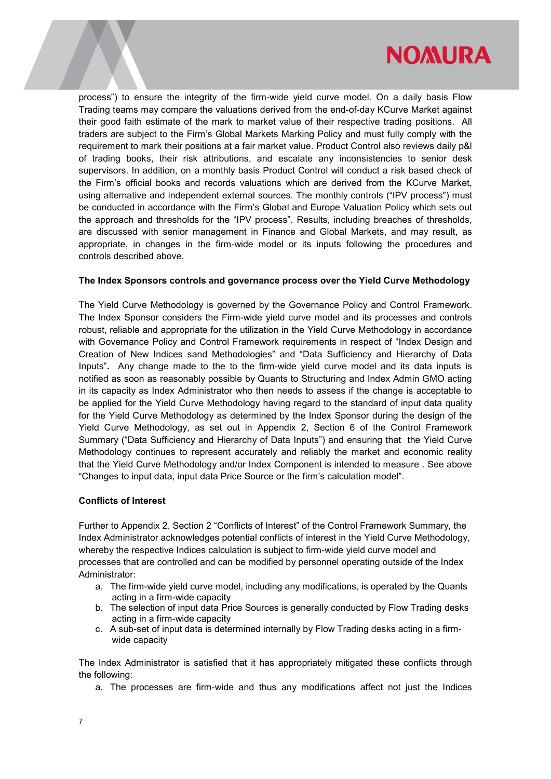

process") to ensure the integrity of the firm-wide yield curve model. On a daily basis Flow Trading teams may compare the valuations derived from the end-of-day KCurve Market against their good faith estimate of the mark to market value of their respective trading positions. All traders are subject to the Firm's Global Markets Marking Policy and must fully comply with the requirement to mark their positions at a fair market value. Product Control also reviews daily p&l of trading books, their risk attributions, and escalate any inconsistencies to senior desk supervisors. In addition, on a monthly basis Product Control will conduct a risk based check of the Firm's official books and records valuations which are derived from the KCurve Market, using alternative and independent external sources. The monthly controls ("IPV process") must be conducted in accordance with the Firm's Global and Europe Valuation Policy which sets out the approach and thresholds for the "IPV process". Results, including breaches of thresholds, are discussed with senior management in Finance and Global Markets, and may result, as appropriate, in changes in the firm-wide model or its inputs following the procedures and controls described above.

#### The Index Sponsors controls and governance process over the Yield Curve Methodology

The Yield Curve Methodology is governed by the Governance Policy and Control Framework. The Index Sponsor considers the Firm-wide yield curve model and its processes and controls robust, reliable and appropriate for the utilization in the Yield Curve Methodology in accordance with Governance Policy and Control Framework requirements in respect of "Index Design and Creation of New Indices sand Methodologies" and "Data Sufficiency and Hierarchy of Data Inputs". Any change made to the to the firm-wide yield curve model and its data inputs is notified as soon as reasonably possible by Quants to Structuring and Index Admin GMO acting in its capacity as Index Administrator who then needs to assess if the change is acceptable to be applied for the Yield Curve Methodology having regard to the standard of input data quality for the Yield Curve Methodology as determined by the Index Sponsor during the design of the Yield Curve Methodology, as set out in Appendix 2, Section 6 of the Control Framework Summary ("Data Sufficiency and Hierarchy of Data Inputs") and ensuring that the Yield Curve Methodology continues to represent accurately and reliably the market and economic reality that the Yield Curve Methodology and/or Index Component is intended to measure . See above "Changes to input data, input data Price Source or the firm's calculation model".

#### Conflicts of Interest

Further to Appendix 2, Section 2 "Conflicts of Interest" of the Control Framework Summary, the Index Administrator acknowledges potential conflicts of interest in the Yield Curve Methodology, whereby the respective Indices calculation is subject to firm-wide yield curve model and processes that are controlled and can be modified by personnel operating outside of the Index Administrator:

- a. The firm-wide yield curve model, including any modifications, is operated by the Quants acting in a firm-wide capacity
- b. The selection of input data Price Sources is generally conducted by Flow Trading desks acting in a firm-wide capacity
- c. A sub-set of input data is determined internally by Flow Trading desks acting in a firmwide capacity

The Index Administrator is satisfied that it has appropriately mitigated these conflicts through the following:

a. The processes are firm-wide and thus any modifications affect not just the Indices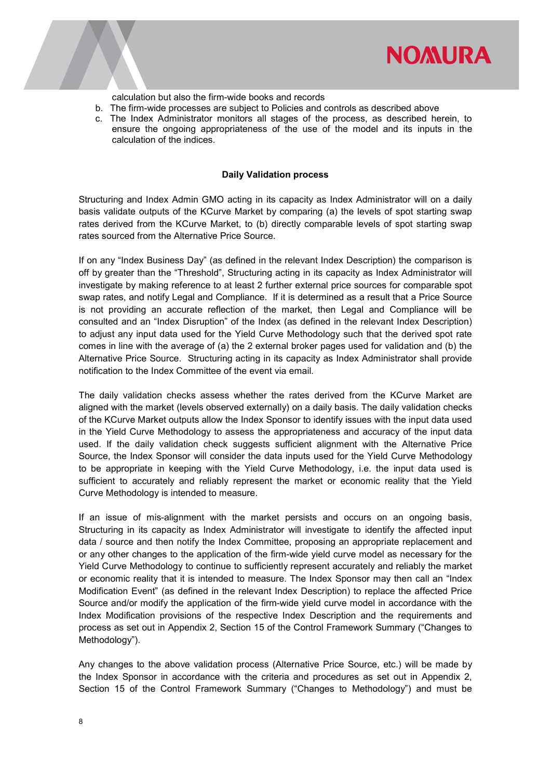

calculation but also the firm-wide books and records

- b. The firm-wide processes are subject to Policies and controls as described above
- c. The Index Administrator monitors all stages of the process, as described herein, to ensure the ongoing appropriateness of the use of the model and its inputs in the calculation of the indices.

#### Daily Validation process

Structuring and Index Admin GMO acting in its capacity as Index Administrator will on a daily basis validate outputs of the KCurve Market by comparing (a) the levels of spot starting swap rates derived from the KCurve Market, to (b) directly comparable levels of spot starting swap rates sourced from the Alternative Price Source.

If on any "Index Business Day" (as defined in the relevant Index Description) the comparison is off by greater than the "Threshold", Structuring acting in its capacity as Index Administrator will investigate by making reference to at least 2 further external price sources for comparable spot swap rates, and notify Legal and Compliance. If it is determined as a result that a Price Source is not providing an accurate reflection of the market, then Legal and Compliance will be consulted and an "Index Disruption" of the Index (as defined in the relevant Index Description) to adjust any input data used for the Yield Curve Methodology such that the derived spot rate comes in line with the average of (a) the 2 external broker pages used for validation and (b) the Alternative Price Source. Structuring acting in its capacity as Index Administrator shall provide notification to the Index Committee of the event via email.

The daily validation checks assess whether the rates derived from the KCurve Market are aligned with the market (levels observed externally) on a daily basis. The daily validation checks of the KCurve Market outputs allow the Index Sponsor to identify issues with the input data used in the Yield Curve Methodology to assess the appropriateness and accuracy of the input data used. If the daily validation check suggests sufficient alignment with the Alternative Price Source, the Index Sponsor will consider the data inputs used for the Yield Curve Methodology to be appropriate in keeping with the Yield Curve Methodology, i.e. the input data used is sufficient to accurately and reliably represent the market or economic reality that the Yield Curve Methodology is intended to measure.

If an issue of mis-alignment with the market persists and occurs on an ongoing basis, Structuring in its capacity as Index Administrator will investigate to identify the affected input data / source and then notify the Index Committee, proposing an appropriate replacement and or any other changes to the application of the firm-wide yield curve model as necessary for the Yield Curve Methodology to continue to sufficiently represent accurately and reliably the market or economic reality that it is intended to measure. The Index Sponsor may then call an "Index Modification Event" (as defined in the relevant Index Description) to replace the affected Price Source and/or modify the application of the firm-wide yield curve model in accordance with the Index Modification provisions of the respective Index Description and the requirements and process as set out in Appendix 2, Section 15 of the Control Framework Summary ("Changes to Methodology").

Any changes to the above validation process (Alternative Price Source, etc.) will be made by the Index Sponsor in accordance with the criteria and procedures as set out in Appendix 2, Section 15 of the Control Framework Summary ("Changes to Methodology") and must be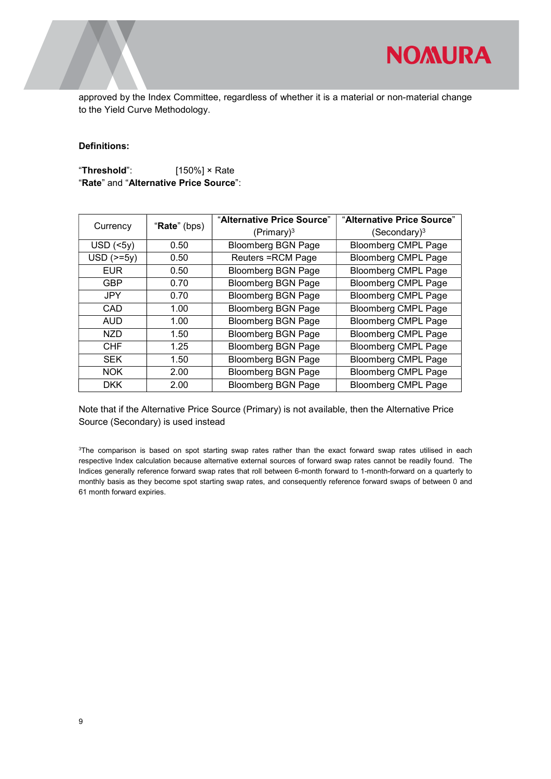approved by the Index Committee, regardless of whether it is a material or non-material change to the Yield Curve Methodology.

#### Definitions:

"Threshold": [150%] × Rate "Rate" and "Alternative Price Source":

| Currency         | "Rate" (bps) | "Alternative Price Source" | "Alternative Price Source" |
|------------------|--------------|----------------------------|----------------------------|
|                  |              | (Primary) <sup>3</sup>     | (Secondary) <sup>3</sup>   |
| $USD$ (<5y)      | 0.50         | <b>Bloomberg BGN Page</b>  | <b>Bloomberg CMPL Page</b> |
| $USD$ ( $>=$ 5y) | 0.50         | <b>Reuters = RCM Page</b>  | <b>Bloomberg CMPL Page</b> |
| <b>EUR</b>       | 0.50         | <b>Bloomberg BGN Page</b>  | <b>Bloomberg CMPL Page</b> |
| <b>GBP</b>       | 0.70         | <b>Bloomberg BGN Page</b>  | <b>Bloomberg CMPL Page</b> |
| <b>JPY</b>       | 0.70         | <b>Bloomberg BGN Page</b>  | <b>Bloomberg CMPL Page</b> |
| CAD              | 1.00         | <b>Bloomberg BGN Page</b>  | <b>Bloomberg CMPL Page</b> |
| <b>AUD</b>       | 1.00         | <b>Bloomberg BGN Page</b>  | <b>Bloomberg CMPL Page</b> |
| <b>NZD</b>       | 1.50         | <b>Bloomberg BGN Page</b>  | <b>Bloomberg CMPL Page</b> |
| <b>CHF</b>       | 1.25         | <b>Bloomberg BGN Page</b>  | <b>Bloomberg CMPL Page</b> |
| <b>SEK</b>       | 1.50         | <b>Bloomberg BGN Page</b>  | <b>Bloomberg CMPL Page</b> |
| <b>NOK</b>       | 2.00         | <b>Bloomberg BGN Page</b>  | <b>Bloomberg CMPL Page</b> |
| <b>DKK</b>       | 2.00         | <b>Bloomberg BGN Page</b>  | <b>Bloomberg CMPL Page</b> |

Note that if the Alternative Price Source (Primary) is not available, then the Alternative Price Source (Secondary) is used instead

<sup>3</sup>The comparison is based on spot starting swap rates rather than the exact forward swap rates utilised in each respective Index calculation because alternative external sources of forward swap rates cannot be readily found. The Indices generally reference forward swap rates that roll between 6-month forward to 1-month-forward on a quarterly to monthly basis as they become spot starting swap rates, and consequently reference forward swaps of between 0 and 61 month forward expiries.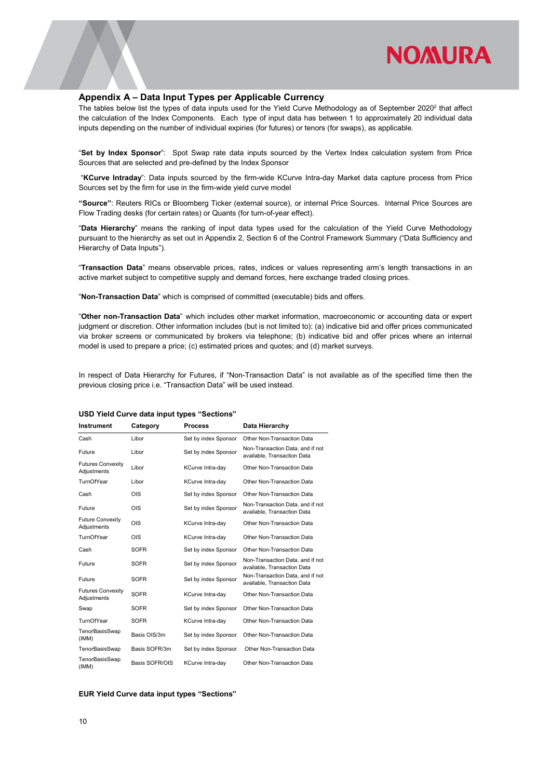

#### Appendix A – Data Input Types per Applicable Currency

The tables below list the types of data inputs used for the Yield Curve Methodology as of September 2020<sup>2</sup> that affect the calculation of the Index Components. Each type of input data has between 1 to approximately 20 individual data inputs depending on the number of individual expiries (for futures) or tenors (for swaps), as applicable.

"Set by Index Sponsor": Spot Swap rate data inputs sourced by the Vertex Index calculation system from Price Sources that are selected and pre-defined by the Index Sponsor

 "KCurve Intraday": Data inputs sourced by the firm-wide KCurve Intra-day Market data capture process from Price Sources set by the firm for use in the firm-wide yield curve model

"Source": Reuters RICs or Bloomberg Ticker (external source), or internal Price Sources. Internal Price Sources are Flow Trading desks (for certain rates) or Quants (for turn-of-year effect).

"Data Hierarchy" means the ranking of input data types used for the calculation of the Yield Curve Methodology pursuant to the hierarchy as set out in Appendix 2, Section 6 of the Control Framework Summary ("Data Sufficiency and Hierarchy of Data Inputs").

"Transaction Data" means observable prices, rates, indices or values representing arm's length transactions in an active market subject to competitive supply and demand forces, here exchange traded closing prices.

"Non-Transaction Data" which is comprised of committed (executable) bids and offers.

"Other non-Transaction Data" which includes other market information, macroeconomic or accounting data or expert judgment or discretion. Other information includes (but is not limited to): (a) indicative bid and offer prices communicated via broker screens or communicated by brokers via telephone; (b) indicative bid and offer prices where an internal model is used to prepare a price; (c) estimated prices and quotes; and (d) market surveys.

In respect of Data Hierarchy for Futures, if "Non-Transaction Data" is not available as of the specified time then the previous closing price i.e. "Transaction Data" will be used instead.

| <b>Instrument</b>                       | Category       | <b>Process</b>       | Data Hierarchy                                                  |
|-----------------------------------------|----------------|----------------------|-----------------------------------------------------------------|
| Cash                                    | Libor          | Set by index Sponsor | Other Non-Transaction Data                                      |
| Future                                  | Libor          | Set by index Sponsor | Non-Transaction Data, and if not<br>available, Transaction Data |
| <b>Futures Convexity</b><br>Adjustments | Libor          | KCurve Intra-day     | Other Non-Transaction Data                                      |
| TurnOfYear                              | Libor          | KCurve Intra-day     | Other Non-Transaction Data                                      |
| Cash                                    | OIS            | Set by index Sponsor | Other Non-Transaction Data                                      |
| Future                                  | OIS            | Set by index Sponsor | Non-Transaction Data, and if not<br>available, Transaction Data |
| <b>Future Convexity</b><br>Adjustments  | OIS            | KCurve Intra-day     | Other Non-Transaction Data                                      |
| TurnOfYear                              | OIS            | KCurve Intra-day     | Other Non-Transaction Data                                      |
| Cash                                    | <b>SOFR</b>    | Set by index Sponsor | Other Non-Transaction Data                                      |
| Future                                  | <b>SOFR</b>    | Set by index Sponsor | Non-Transaction Data, and if not<br>available, Transaction Data |
| Future                                  | <b>SOFR</b>    | Set by index Sponsor | Non-Transaction Data, and if not<br>available, Transaction Data |
| <b>Futures Convexity</b><br>Adjustments | <b>SOFR</b>    | KCurve Intra-day     | Other Non-Transaction Data                                      |
| Swap                                    | <b>SOFR</b>    | Set by index Sponsor | Other Non-Transaction Data                                      |
| TurnOfYear                              | <b>SOFR</b>    | KCurve Intra-day     | Other Non-Transaction Data                                      |
| TenorBasisSwap<br>(IMM)                 | Basis OIS/3m   | Set by index Sponsor | Other Non-Transaction Data                                      |
| TenorBasisSwap                          | Basis SOFR/3m  | Set by index Sponsor | Other Non-Transaction Data                                      |
| TenorBasisSwap<br>(IMM)                 | Basis SOFR/OIS | KCurve Intra-day     | Other Non-Transaction Data                                      |

#### USD Yield Curve data input types "Sections"

#### EUR Yield Curve data input types "Sections"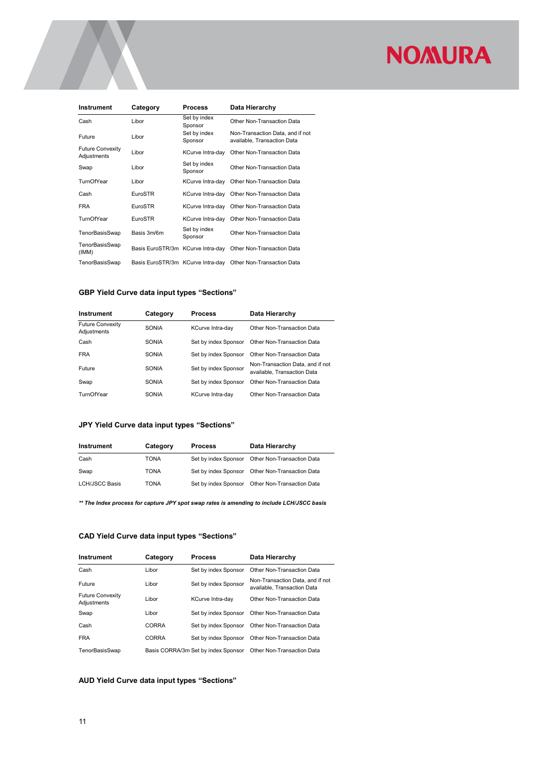| <b>Instrument</b>                      | Category                          | <b>Process</b>          | Data Hierarchy                                                  |
|----------------------------------------|-----------------------------------|-------------------------|-----------------------------------------------------------------|
| Cash                                   | Libor                             | Set by index<br>Sponsor | Other Non-Transaction Data                                      |
| Future                                 | Libor                             | Set by index<br>Sponsor | Non-Transaction Data, and if not<br>available, Transaction Data |
| <b>Future Convexity</b><br>Adjustments | Libor                             | KCurve Intra-day        | Other Non-Transaction Data                                      |
| Swap                                   | Libor                             | Set by index<br>Sponsor | Other Non-Transaction Data                                      |
| TurnOfYear                             | Libor                             | KCurve Intra-day        | Other Non-Transaction Data                                      |
| Cash                                   | EuroSTR                           | KCurve Intra-day        | Other Non-Transaction Data                                      |
| <b>FRA</b>                             | EuroSTR                           | KCurve Intra-day        | Other Non-Transaction Data                                      |
| TurnOfYear                             | EuroSTR                           | KCurve Intra-day        | Other Non-Transaction Data                                      |
| TenorBasisSwap                         | Basis 3m/6m                       | Set by index<br>Sponsor | Other Non-Transaction Data                                      |
| TenorBasisSwap<br>(IMM)                | Basis EuroSTR/3m KCurve Intra-day |                         | Other Non-Transaction Data                                      |
| TenorBasisSwap                         | Basis EuroSTR/3m KCurve Intra-day |                         | Other Non-Transaction Data                                      |

#### GBP Yield Curve data input types "Sections"

| <b>Instrument</b>                      | Category     | <b>Process</b>       | Data Hierarchy                                                  |
|----------------------------------------|--------------|----------------------|-----------------------------------------------------------------|
| <b>Future Convexity</b><br>Adjustments | <b>SONIA</b> | KCurve Intra-day     | Other Non-Transaction Data                                      |
| Cash                                   | <b>SONIA</b> | Set by index Sponsor | Other Non-Transaction Data                                      |
| <b>FRA</b>                             | SONIA        | Set by index Sponsor | Other Non-Transaction Data                                      |
| Future                                 | <b>SONIA</b> | Set by index Sponsor | Non-Transaction Data, and if not<br>available, Transaction Data |
| Swap                                   | SONIA        | Set by index Sponsor | Other Non-Transaction Data                                      |
| TurnOfYear                             | SONIA        | KCurve Intra-day     | Other Non-Transaction Data                                      |

#### JPY Yield Curve data input types "Sections"

| Instrument            | Category    | <b>Process</b> | Data Hierarchy                                  |
|-----------------------|-------------|----------------|-------------------------------------------------|
| Cash                  | <b>TONA</b> |                | Set by index Sponsor Other Non-Transaction Data |
| Swap                  | <b>TONA</b> |                | Set by index Sponsor Other Non-Transaction Data |
| <b>LCH/JSCC Basis</b> | <b>TONA</b> |                | Set by index Sponsor Other Non-Transaction Data |

\*\* The Index process for capture JPY spot swap rates is amending to include LCH/JSCC basis

#### CAD Yield Curve data input types "Sections"

| Instrument                             | Category     | <b>Process</b>                      | Data Hierarchy                                                  |
|----------------------------------------|--------------|-------------------------------------|-----------------------------------------------------------------|
| Cash                                   | Libor        | Set by index Sponsor                | Other Non-Transaction Data                                      |
| Future                                 | Libor        | Set by index Sponsor                | Non-Transaction Data, and if not<br>available. Transaction Data |
| <b>Future Convexity</b><br>Adjustments | Libor        | KCurve Intra-dav                    | Other Non-Transaction Data                                      |
| Swap                                   | Libor        | Set by index Sponsor                | Other Non-Transaction Data                                      |
| Cash                                   | CORRA        | Set by index Sponsor                | Other Non-Transaction Data                                      |
| <b>FRA</b>                             | <b>CORRA</b> | Set by index Sponsor                | Other Non-Transaction Data                                      |
| TenorBasisSwap                         |              | Basis CORRA/3m Set by index Sponsor | Other Non-Transaction Data                                      |

#### AUD Yield Curve data input types "Sections"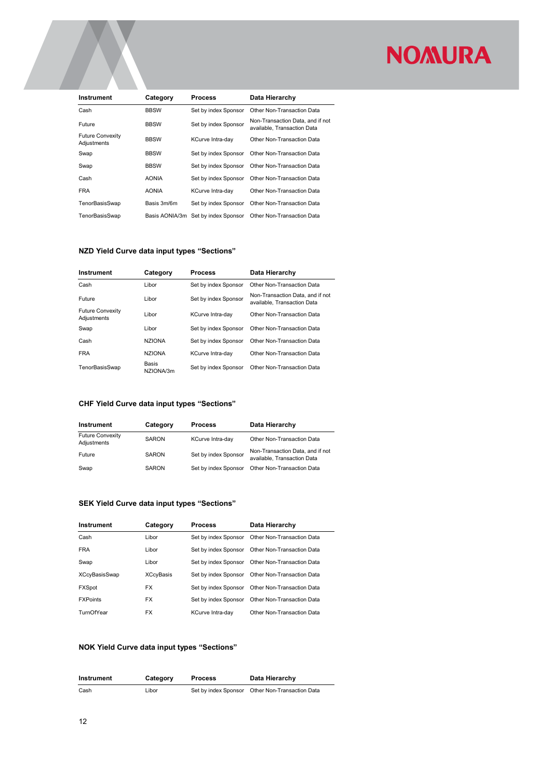| <b>Instrument</b>                      | Category     | <b>Process</b>                      | Data Hierarchy                                                  |
|----------------------------------------|--------------|-------------------------------------|-----------------------------------------------------------------|
| Cash                                   | <b>BBSW</b>  | Set by index Sponsor                | Other Non-Transaction Data                                      |
| Future                                 | <b>BBSW</b>  | Set by index Sponsor                | Non-Transaction Data, and if not<br>available. Transaction Data |
| <b>Future Convexity</b><br>Adjustments | <b>BBSW</b>  | KCurve Intra-day                    | Other Non-Transaction Data                                      |
| Swap                                   | <b>BBSW</b>  | Set by index Sponsor                | Other Non-Transaction Data                                      |
| Swap                                   | <b>BBSW</b>  | Set by index Sponsor                | Other Non-Transaction Data                                      |
| Cash                                   | <b>AONIA</b> | Set by index Sponsor                | Other Non-Transaction Data                                      |
| <b>FRA</b>                             | <b>AONIA</b> | KCurve Intra-day                    | Other Non-Transaction Data                                      |
| TenorBasisSwap                         | Basis 3m/6m  | Set by index Sponsor                | Other Non-Transaction Data                                      |
| TenorBasisSwap                         |              | Basis AONIA/3m Set by index Sponsor | Other Non-Transaction Data                                      |

#### NZD Yield Curve data input types "Sections"

| Instrument                             | Category                  | <b>Process</b>          | Data Hierarchy                                                  |
|----------------------------------------|---------------------------|-------------------------|-----------------------------------------------------------------|
| Cash                                   | Libor                     | Set by index Sponsor    | Other Non-Transaction Data                                      |
| Future                                 | Libor                     | Set by index Sponsor    | Non-Transaction Data, and if not<br>available, Transaction Data |
| <b>Future Convexity</b><br>Adjustments | Libor                     | <b>KCurve Intra-dav</b> | Other Non-Transaction Data                                      |
| Swap                                   | Libor                     | Set by index Sponsor    | Other Non-Transaction Data                                      |
| Cash                                   | <b>NZIONA</b>             | Set by index Sponsor    | Other Non-Transaction Data                                      |
| <b>FRA</b>                             | <b>NZIONA</b>             | KCurve Intra-day        | Other Non-Transaction Data                                      |
| TenorBasisSwap                         | <b>Basis</b><br>NZIONA/3m | Set by index Sponsor    | Other Non-Transaction Data                                      |

#### CHF Yield Curve data input types "Sections"

| Instrument                             | Category     | <b>Process</b>       | Data Hierarchy                                                  |
|----------------------------------------|--------------|----------------------|-----------------------------------------------------------------|
| <b>Future Convexity</b><br>Adjustments | <b>SARON</b> | KCurve Intra-day     | Other Non-Transaction Data                                      |
| Future                                 | <b>SARON</b> | Set by index Sponsor | Non-Transaction Data, and if not<br>available. Transaction Data |
| Swap                                   | <b>SARON</b> | Set by index Sponsor | Other Non-Transaction Data                                      |

#### SEK Yield Curve data input types "Sections"

| Instrument      | Category         | <b>Process</b>       | Data Hierarchy             |
|-----------------|------------------|----------------------|----------------------------|
| Cash            | Libor            | Set by index Sponsor | Other Non-Transaction Data |
| <b>FRA</b>      | Libor            | Set by index Sponsor | Other Non-Transaction Data |
| Swap            | Libor            | Set by index Sponsor | Other Non-Transaction Data |
| XCcyBasisSwap   | <b>XCcyBasis</b> | Set by index Sponsor | Other Non-Transaction Data |
| <b>FXSpot</b>   | <b>FX</b>        | Set by index Sponsor | Other Non-Transaction Data |
| <b>FXPoints</b> | <b>FX</b>        | Set by index Sponsor | Other Non-Transaction Data |
| TurnOfYear      | <b>FX</b>        | KCurve Intra-dav     | Other Non-Transaction Data |

#### NOK Yield Curve data input types "Sections"

| <b>Instrument</b> | Category | <b>Process</b> | Data Hierarchy                                  |
|-------------------|----------|----------------|-------------------------------------------------|
| Cash              | Libor    |                | Set by index Sponsor Other Non-Transaction Data |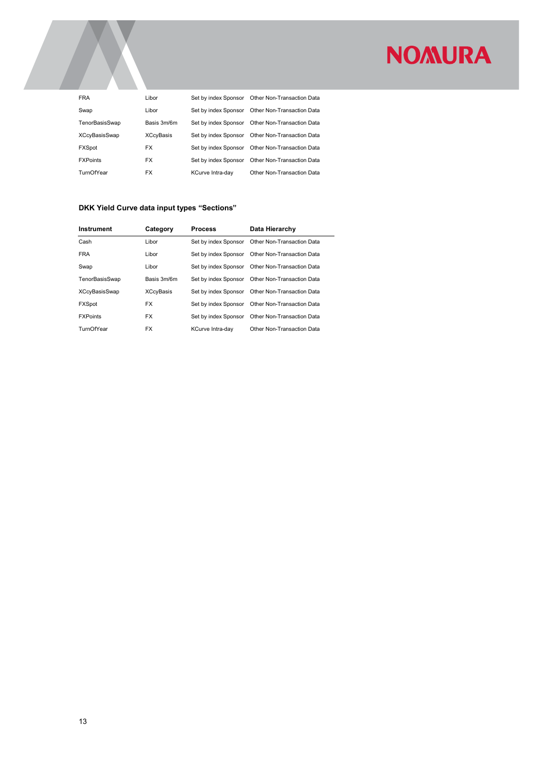| <b>FRA</b>           | Libor            | Set by index Sponsor | Other Non-Transaction Data |
|----------------------|------------------|----------------------|----------------------------|
| Swap                 | Libor            | Set by index Sponsor | Other Non-Transaction Data |
| TenorBasisSwap       | Basis 3m/6m      | Set by index Sponsor | Other Non-Transaction Data |
| <b>XCcyBasisSwap</b> | <b>XCcyBasis</b> | Set by index Sponsor | Other Non-Transaction Data |
| <b>FXSpot</b>        | <b>FX</b>        | Set by index Sponsor | Other Non-Transaction Data |
| <b>FXPoints</b>      | <b>FX</b>        | Set by index Sponsor | Other Non-Transaction Data |
| TurnOfYear           | <b>FX</b>        | KCurve Intra-day     | Other Non-Transaction Data |

#### DKK Yield Curve data input types "Sections"

| <b>Instrument</b>    | Category         | <b>Process</b>       | Data Hierarchy             |
|----------------------|------------------|----------------------|----------------------------|
| Cash                 | Libor            | Set by index Sponsor | Other Non-Transaction Data |
| <b>FRA</b>           | Libor            | Set by index Sponsor | Other Non-Transaction Data |
| Swap                 | Libor            | Set by index Sponsor | Other Non-Transaction Data |
| TenorBasisSwap       | Basis 3m/6m      | Set by index Sponsor | Other Non-Transaction Data |
| <b>XCcyBasisSwap</b> | <b>XCcyBasis</b> | Set by index Sponsor | Other Non-Transaction Data |
| <b>FXSpot</b>        | <b>FX</b>        | Set by index Sponsor | Other Non-Transaction Data |
| <b>FXPoints</b>      | <b>FX</b>        | Set by index Sponsor | Other Non-Transaction Data |
| TurnOfYear           | <b>FX</b>        | KCurve Intra-dav     | Other Non-Transaction Data |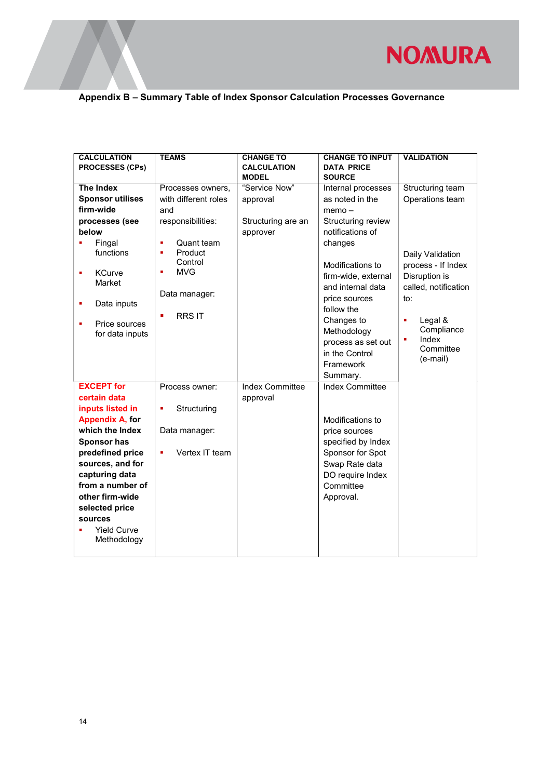

### Appendix B – Summary Table of Index Sponsor Calculation Processes Governance

| <b>CALCULATION</b>      | <b>TEAMS</b>         | <b>CHANGE TO</b>       | <b>CHANGE TO INPUT</b> | <b>VALIDATION</b>    |
|-------------------------|----------------------|------------------------|------------------------|----------------------|
|                         |                      | <b>CALCULATION</b>     | <b>DATA PRICE</b>      |                      |
| <b>PROCESSES (CPs)</b>  |                      |                        |                        |                      |
|                         |                      | <b>MODEL</b>           | <b>SOURCE</b>          |                      |
| <b>The Index</b>        | Processes owners,    | "Service Now"          | Internal processes     | Structuring team     |
| <b>Sponsor utilises</b> | with different roles | approval               | as noted in the        | Operations team      |
| firm-wide<br>and        |                      |                        | $memo -$               |                      |
| processes (see          | responsibilities:    | Structuring are an     | Structuring review     |                      |
| below                   |                      | approver               | notifications of       |                      |
| Fingal                  | Quant team<br>n,     |                        | changes                |                      |
| functions               | Product<br>×         |                        |                        | Daily Validation     |
|                         | Control              |                        | Modifications to       | process - If Index   |
| <b>KCurve</b>           | <b>MVG</b><br>n,     |                        | firm-wide, external    | Disruption is        |
| Market                  |                      |                        |                        |                      |
|                         | Data manager:        |                        | and internal data      | called, notification |
| Data inputs             |                      |                        | price sources          | to:                  |
|                         | <b>RRSIT</b><br>٠    |                        | follow the             |                      |
| Price sources           |                      |                        | Changes to             | Legal &<br>٠         |
| for data inputs         |                      |                        | Methodology            | Compliance           |
|                         |                      |                        | process as set out     | Index<br>٠           |
|                         |                      |                        | in the Control         | Committee            |
|                         |                      |                        | Framework              | (e-mail)             |
|                         |                      |                        |                        |                      |
|                         |                      |                        | Summary.               |                      |
| <b>EXCEPT</b> for       | Process owner:       | <b>Index Committee</b> | <b>Index Committee</b> |                      |
| certain data            |                      | approval               |                        |                      |
| inputs listed in        | Structuring<br>٠     |                        |                        |                      |
| <b>Appendix A, for</b>  |                      |                        | Modifications to       |                      |
| which the Index         | Data manager:        |                        | price sources          |                      |
| <b>Sponsor has</b>      |                      |                        | specified by Index     |                      |
| predefined price        | Vertex IT team<br>٠  |                        | Sponsor for Spot       |                      |
| sources, and for        |                      |                        | Swap Rate data         |                      |
| capturing data          |                      |                        | DO require Index       |                      |
| from a number of        |                      |                        | Committee              |                      |
|                         |                      |                        |                        |                      |
| other firm-wide         |                      |                        | Approval.              |                      |
| selected price          |                      |                        |                        |                      |
| sources                 |                      |                        |                        |                      |
| <b>Yield Curve</b>      |                      |                        |                        |                      |
| Methodology             |                      |                        |                        |                      |
|                         |                      |                        |                        |                      |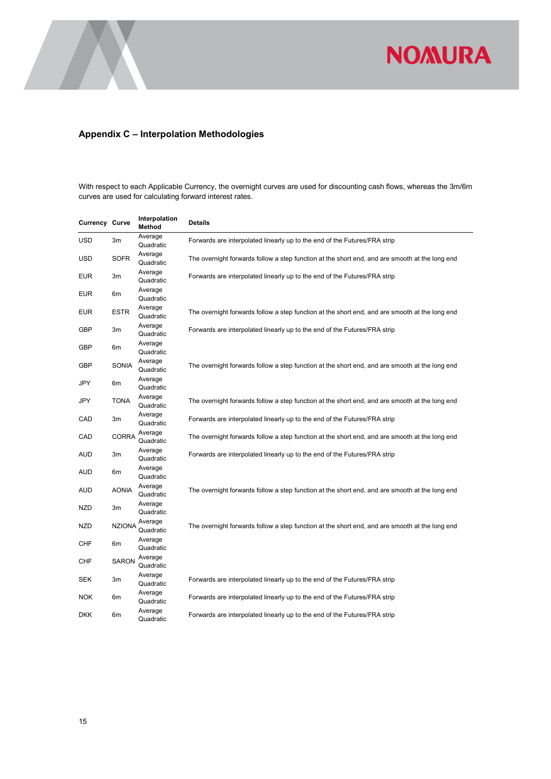

#### Appendix C – Interpolation Methodologies

With respect to each Applicable Currency, the overnight curves are used for discounting cash flows, whereas the 3m/6m curves are used for calculating forward interest rates.

| Currency Curve |               | Interpolation<br>Method | <b>Details</b>                                                                                 |
|----------------|---------------|-------------------------|------------------------------------------------------------------------------------------------|
| USD            | 3m            | Average<br>Quadratic    | Forwards are interpolated linearly up to the end of the Futures/FRA strip                      |
| USD            | <b>SOFR</b>   | Average<br>Quadratic    | The overnight forwards follow a step function at the short end, and are smooth at the long end |
| <b>EUR</b>     | 3m            | Average<br>Quadratic    | Forwards are interpolated linearly up to the end of the Futures/FRA strip                      |
| <b>EUR</b>     | 6m            | Average<br>Quadratic    |                                                                                                |
| <b>EUR</b>     | <b>ESTR</b>   | Average<br>Quadratic    | The overnight forwards follow a step function at the short end, and are smooth at the long end |
| GBP            | 3m            | Average<br>Quadratic    | Forwards are interpolated linearly up to the end of the Futures/FRA strip                      |
| GBP            | 6m            | Average<br>Quadratic    |                                                                                                |
| GBP            | SONIA         | Average<br>Quadratic    | The overnight forwards follow a step function at the short end, and are smooth at the long end |
| JPY            | 6m            | Average<br>Quadratic    |                                                                                                |
| JPY            | <b>TONA</b>   | Average<br>Quadratic    | The overnight forwards follow a step function at the short end, and are smooth at the long end |
| CAD            | 3m            | Average<br>Quadratic    | Forwards are interpolated linearly up to the end of the Futures/FRA strip                      |
| CAD            | <b>CORRA</b>  | Average<br>Quadratic    | The overnight forwards follow a step function at the short end, and are smooth at the long end |
| AUD            | 3m            | Average<br>Quadratic    | Forwards are interpolated linearly up to the end of the Futures/FRA strip                      |
| AUD            | 6m            | Average<br>Quadratic    |                                                                                                |
| AUD            | <b>AONIA</b>  | Average<br>Quadratic    | The overnight forwards follow a step function at the short end, and are smooth at the long end |
| NZD            | 3m            | Average<br>Quadratic    |                                                                                                |
| <b>NZD</b>     | <b>NZIONA</b> | Average<br>Quadratic    | The overnight forwards follow a step function at the short end, and are smooth at the long end |
| <b>CHF</b>     | 6m            | Average<br>Quadratic    |                                                                                                |
| CHF            | <b>SARON</b>  | Average<br>Quadratic    |                                                                                                |
| <b>SEK</b>     | 3m            | Average<br>Quadratic    | Forwards are interpolated linearly up to the end of the Futures/FRA strip                      |
| <b>NOK</b>     | 6m            | Average<br>Quadratic    | Forwards are interpolated linearly up to the end of the Futures/FRA strip                      |
| DKK            | 6m            | Average<br>Quadratic    | Forwards are interpolated linearly up to the end of the Futures/FRA strip                      |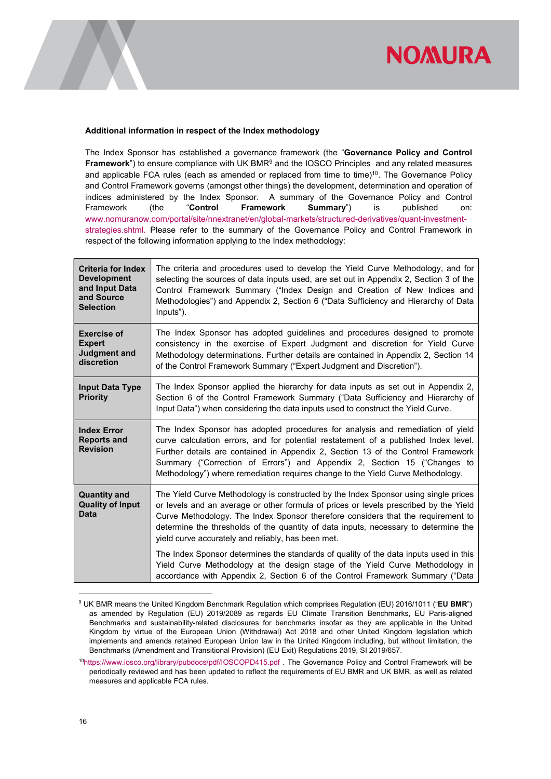

#### Additional information in respect of the Index methodology

The Index Sponsor has established a governance framework (the "Governance Policy and Control **Framework**") to ensure compliance with UK BMR<sup>9</sup> and the IOSCO Principles and any related measures and applicable FCA rules (each as amended or replaced from time to time)<sup>10</sup>. The Governance Policy and Control Framework governs (amongst other things) the development, determination and operation of indices administered by the Index Sponsor. A summary of the Governance Policy and Control Framework (the "Control Framework Summary") is published on: www.nomuranow.com/portal/site/nnextranet/en/global-markets/structured-derivatives/quant-investmentstrategies.shtml. Please refer to the summary of the Governance Policy and Control Framework in respect of the following information applying to the Index methodology:

| <b>Criteria for Index</b><br><b>Development</b><br>and Input Data<br>and Source<br><b>Selection</b> | The criteria and procedures used to develop the Yield Curve Methodology, and for<br>selecting the sources of data inputs used, are set out in Appendix 2, Section 3 of the<br>Control Framework Summary ("Index Design and Creation of New Indices and<br>Methodologies") and Appendix 2, Section 6 ("Data Sufficiency and Hierarchy of Data<br>Inputs").                                                                |
|-----------------------------------------------------------------------------------------------------|--------------------------------------------------------------------------------------------------------------------------------------------------------------------------------------------------------------------------------------------------------------------------------------------------------------------------------------------------------------------------------------------------------------------------|
| <b>Exercise of</b><br><b>Expert</b><br><b>Judgment and</b><br>discretion                            | The Index Sponsor has adopted guidelines and procedures designed to promote<br>consistency in the exercise of Expert Judgment and discretion for Yield Curve<br>Methodology determinations. Further details are contained in Appendix 2, Section 14<br>of the Control Framework Summary ("Expert Judgment and Discretion").                                                                                              |
| <b>Input Data Type</b><br><b>Priority</b>                                                           | The Index Sponsor applied the hierarchy for data inputs as set out in Appendix 2,<br>Section 6 of the Control Framework Summary ("Data Sufficiency and Hierarchy of<br>Input Data") when considering the data inputs used to construct the Yield Curve.                                                                                                                                                                  |
| <b>Index Error</b><br><b>Reports and</b><br><b>Revision</b>                                         | The Index Sponsor has adopted procedures for analysis and remediation of yield<br>curve calculation errors, and for potential restatement of a published Index level.<br>Further details are contained in Appendix 2, Section 13 of the Control Framework<br>Summary ("Correction of Errors") and Appendix 2, Section 15 ("Changes to<br>Methodology") where remediation requires change to the Yield Curve Methodology. |
| <b>Quantity and</b><br><b>Quality of Input</b><br>Data                                              | The Yield Curve Methodology is constructed by the Index Sponsor using single prices<br>or levels and an average or other formula of prices or levels prescribed by the Yield<br>Curve Methodology. The Index Sponsor therefore considers that the requirement to<br>determine the thresholds of the quantity of data inputs, necessary to determine the<br>yield curve accurately and reliably, has been met.            |
|                                                                                                     | The Index Sponsor determines the standards of quality of the data inputs used in this<br>Yield Curve Methodology at the design stage of the Yield Curve Methodology in<br>accordance with Appendix 2, Section 6 of the Control Framework Summary ("Data                                                                                                                                                                  |

<sup>&</sup>lt;sup>9</sup> UK BMR means the United Kingdom Benchmark Regulation which comprises Regulation (EU) 2016/1011 ("**EU BMR**") as amended by Regulation (EU) 2019/2089 as regards EU Climate Transition Benchmarks, EU Paris-aligned Benchmarks and sustainability-related disclosures for benchmarks insofar as they are applicable in the United Kingdom by virtue of the European Union (Withdrawal) Act 2018 and other United Kingdom legislation which implements and amends retained European Union law in the United Kingdom including, but without limitation, the Benchmarks (Amendment and Transitional Provision) (EU Exit) Regulations 2019, SI 2019/657.

-

<sup>10</sup>https://www.iosco.org/library/pubdocs/pdf/IOSCOPD415.pdf . The Governance Policy and Control Framework will be periodically reviewed and has been updated to reflect the requirements of EU BMR and UK BMR, as well as related measures and applicable FCA rules.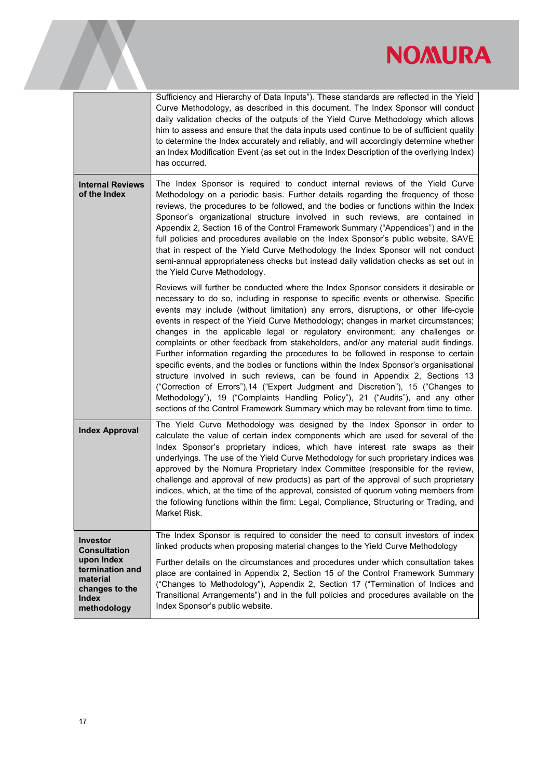

|                                                                                                                               | Sufficiency and Hierarchy of Data Inputs"). These standards are reflected in the Yield<br>Curve Methodology, as described in this document. The Index Sponsor will conduct<br>daily validation checks of the outputs of the Yield Curve Methodology which allows<br>him to assess and ensure that the data inputs used continue to be of sufficient quality<br>to determine the Index accurately and reliably, and will accordingly determine whether<br>an Index Modification Event (as set out in the Index Description of the overlying Index)<br>has occurred.                                                                                                                                                                                                                                                                                                                                                                                                                                                                                        |
|-------------------------------------------------------------------------------------------------------------------------------|-----------------------------------------------------------------------------------------------------------------------------------------------------------------------------------------------------------------------------------------------------------------------------------------------------------------------------------------------------------------------------------------------------------------------------------------------------------------------------------------------------------------------------------------------------------------------------------------------------------------------------------------------------------------------------------------------------------------------------------------------------------------------------------------------------------------------------------------------------------------------------------------------------------------------------------------------------------------------------------------------------------------------------------------------------------|
| <b>Internal Reviews</b><br>of the Index                                                                                       | The Index Sponsor is required to conduct internal reviews of the Yield Curve<br>Methodology on a periodic basis. Further details regarding the frequency of those<br>reviews, the procedures to be followed, and the bodies or functions within the Index<br>Sponsor's organizational structure involved in such reviews, are contained in<br>Appendix 2, Section 16 of the Control Framework Summary ("Appendices") and in the<br>full policies and procedures available on the Index Sponsor's public website, SAVE<br>that in respect of the Yield Curve Methodology the Index Sponsor will not conduct<br>semi-annual appropriateness checks but instead daily validation checks as set out in<br>the Yield Curve Methodology.                                                                                                                                                                                                                                                                                                                        |
|                                                                                                                               | Reviews will further be conducted where the Index Sponsor considers it desirable or<br>necessary to do so, including in response to specific events or otherwise. Specific<br>events may include (without limitation) any errors, disruptions, or other life-cycle<br>events in respect of the Yield Curve Methodology; changes in market circumstances;<br>changes in the applicable legal or regulatory environment; any challenges or<br>complaints or other feedback from stakeholders, and/or any material audit findings.<br>Further information regarding the procedures to be followed in response to certain<br>specific events, and the bodies or functions within the Index Sponsor's organisational<br>structure involved in such reviews, can be found in Appendix 2, Sections 13<br>("Correction of Errors"),14 ("Expert Judgment and Discretion"), 15 ("Changes to<br>Methodology"), 19 ("Complaints Handling Policy"), 21 ("Audits"), and any other<br>sections of the Control Framework Summary which may be relevant from time to time. |
| <b>Index Approval</b>                                                                                                         | The Yield Curve Methodology was designed by the Index Sponsor in order to<br>calculate the value of certain index components which are used for several of the<br>Index Sponsor's proprietary indices, which have interest rate swaps as their<br>underlyings. The use of the Yield Curve Methodology for such proprietary indices was<br>approved by the Nomura Proprietary Index Committee (responsible for the review,<br>challenge and approval of new products) as part of the approval of such proprietary<br>indices, which, at the time of the approval, consisted of quorum voting members from<br>the following functions within the firm: Legal, Compliance, Structuring or Trading, and<br>Market Risk.                                                                                                                                                                                                                                                                                                                                       |
| <b>Investor</b><br><b>Consultation</b><br>upon Index<br>termination and<br>material<br>changes to the<br>Index<br>methodology | The Index Sponsor is required to consider the need to consult investors of index<br>linked products when proposing material changes to the Yield Curve Methodology<br>Further details on the circumstances and procedures under which consultation takes<br>place are contained in Appendix 2, Section 15 of the Control Framework Summary<br>("Changes to Methodology"), Appendix 2, Section 17 ("Termination of Indices and<br>Transitional Arrangements") and in the full policies and procedures available on the<br>Index Sponsor's public website.                                                                                                                                                                                                                                                                                                                                                                                                                                                                                                  |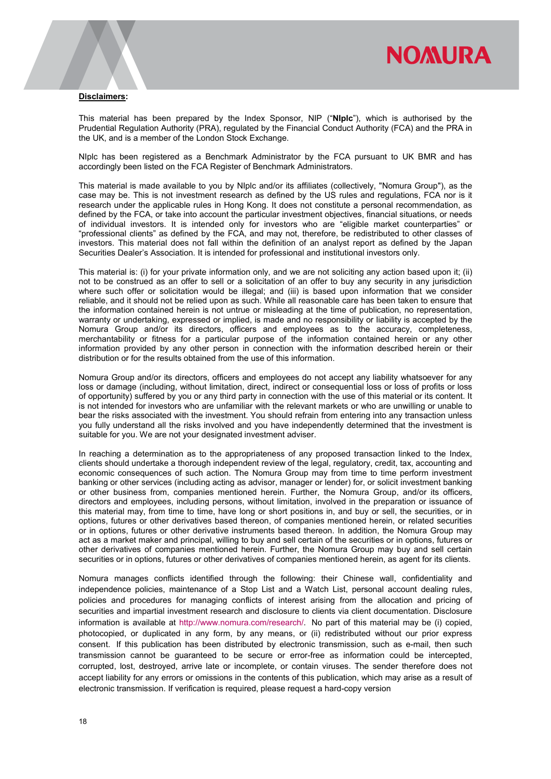

#### Disclaimers:

This material has been prepared by the Index Sponsor, NIP ("NIplc"), which is authorised by the Prudential Regulation Authority (PRA), regulated by the Financial Conduct Authority (FCA) and the PRA in the UK, and is a member of the London Stock Exchange.

NIplc has been registered as a Benchmark Administrator by the FCA pursuant to UK BMR and has accordingly been listed on the FCA Register of Benchmark Administrators.

This material is made available to you by NIplc and/or its affiliates (collectively, "Nomura Group"), as the case may be. This is not investment research as defined by the US rules and regulations, FCA nor is it research under the applicable rules in Hong Kong. It does not constitute a personal recommendation, as defined by the FCA, or take into account the particular investment objectives, financial situations, or needs of individual investors. It is intended only for investors who are "eligible market counterparties" or "professional clients" as defined by the FCA, and may not, therefore, be redistributed to other classes of investors. This material does not fall within the definition of an analyst report as defined by the Japan Securities Dealer's Association. It is intended for professional and institutional investors only.

This material is: (i) for your private information only, and we are not soliciting any action based upon it; (ii) not to be construed as an offer to sell or a solicitation of an offer to buy any security in any jurisdiction where such offer or solicitation would be illegal; and (iii) is based upon information that we consider reliable, and it should not be relied upon as such. While all reasonable care has been taken to ensure that the information contained herein is not untrue or misleading at the time of publication, no representation, warranty or undertaking, expressed or implied, is made and no responsibility or liability is accepted by the Nomura Group and/or its directors, officers and employees as to the accuracy, completeness, merchantability or fitness for a particular purpose of the information contained herein or any other information provided by any other person in connection with the information described herein or their distribution or for the results obtained from the use of this information.

Nomura Group and/or its directors, officers and employees do not accept any liability whatsoever for any loss or damage (including, without limitation, direct, indirect or consequential loss or loss of profits or loss of opportunity) suffered by you or any third party in connection with the use of this material or its content. It is not intended for investors who are unfamiliar with the relevant markets or who are unwilling or unable to bear the risks associated with the investment. You should refrain from entering into any transaction unless you fully understand all the risks involved and you have independently determined that the investment is suitable for you. We are not your designated investment adviser.

In reaching a determination as to the appropriateness of any proposed transaction linked to the Index, clients should undertake a thorough independent review of the legal, regulatory, credit, tax, accounting and economic consequences of such action. The Nomura Group may from time to time perform investment banking or other services (including acting as advisor, manager or lender) for, or solicit investment banking or other business from, companies mentioned herein. Further, the Nomura Group, and/or its officers, directors and employees, including persons, without limitation, involved in the preparation or issuance of this material may, from time to time, have long or short positions in, and buy or sell, the securities, or in options, futures or other derivatives based thereon, of companies mentioned herein, or related securities or in options, futures or other derivative instruments based thereon. In addition, the Nomura Group may act as a market maker and principal, willing to buy and sell certain of the securities or in options, futures or other derivatives of companies mentioned herein. Further, the Nomura Group may buy and sell certain securities or in options, futures or other derivatives of companies mentioned herein, as agent for its clients.

Nomura manages conflicts identified through the following: their Chinese wall, confidentiality and independence policies, maintenance of a Stop List and a Watch List, personal account dealing rules, policies and procedures for managing conflicts of interest arising from the allocation and pricing of securities and impartial investment research and disclosure to clients via client documentation. Disclosure information is available at http://www.nomura.com/research/. No part of this material may be (i) copied, photocopied, or duplicated in any form, by any means, or (ii) redistributed without our prior express consent. If this publication has been distributed by electronic transmission, such as e-mail, then such transmission cannot be guaranteed to be secure or error-free as information could be intercepted, corrupted, lost, destroyed, arrive late or incomplete, or contain viruses. The sender therefore does not accept liability for any errors or omissions in the contents of this publication, which may arise as a result of electronic transmission. If verification is required, please request a hard-copy version